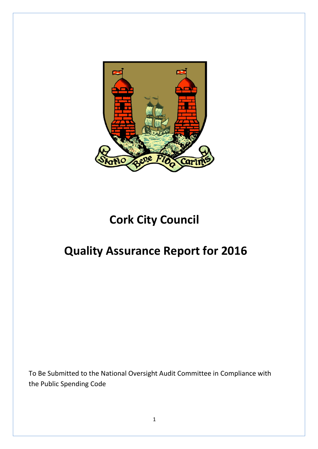

# **Cork City Council**

## **Quality Assurance Report for 2016**

To Be Submitted to the National Oversight Audit Committee in Compliance with the Public Spending Code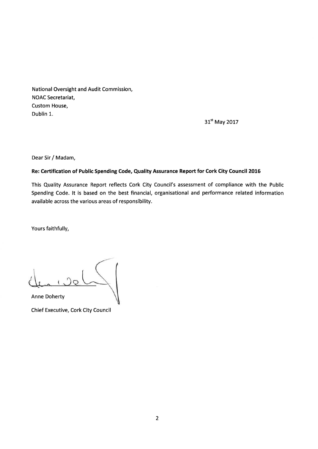National Oversight and Audit Commission, **NOAC Secretariat,** Custom House, Dublin 1.

31st May 2017

Dear Sir / Madam,

#### Re: Certification of Public Spending Code, Quality Assurance Report for Cork City Council 2016

This Quality Assurance Report reflects Cork City Council's assessment of compliance with the Public Spending Code. It is based on the best financial, organisational and performance related information available across the various areas of responsibility.

Yours faithfully,

**Anne Doherty** 

Chief Executive, Cork City Council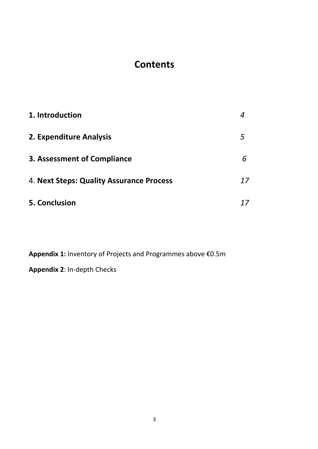## **Contents**

| 1. Introduction                          |    |
|------------------------------------------|----|
| 2. Expenditure Analysis                  | 5  |
| <b>3. Assessment of Compliance</b>       |    |
| 4. Next Steps: Quality Assurance Process | 17 |
| 5. Conclusion                            |    |

**Appendix 1:** Inventory of Projects and Programmes above €0.5m

**Appendix 2**: In-depth Checks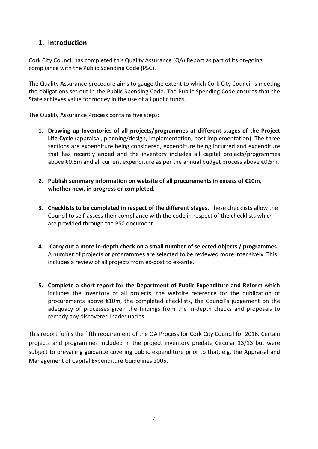## **1. Introduction**

Cork City Council has completed this Quality Assurance (QA) Report as part of its on-going compliance with the Public Spending Code (PSC).

The Quality Assurance procedure aims to gauge the extent to which Cork City Council is meeting the obligations set out in the Public Spending Code. The Public Spending Code ensures that the State achieves value for money in the use of all public funds.

The Quality Assurance Process contains five steps:

- **1. Drawing up Inventories of all projects/programmes at different stages of the Project Life Cycle** (appraisal, planning/design, implementation, post implementation). The three sections are expenditure being considered, expenditure being incurred and expenditure that has recently ended and the inventory includes all capital projects/programmes above €0.5m and all current expenditure as per the annual budget process above €0.5m.
- **2. Publish summary information on website of all procurements in excess of €10m, whether new, in progress or completed.**
- **3. Checklists to be completed in respect of the different stages.** These checklists allow the Council to self-assess their compliance with the code in respect of the checklists which are provided through the PSC document.
- **4. Carry out a more in-depth check on a small number of selected objects / programmes.**  A number of projects or programmes are selected to be reviewed more intensively. This includes a review of all projects from ex-post to ex-ante.
- **5. Complete a short report for the Department of Public Expenditure and Reform** which includes the inventory of all projects, the website reference for the publication of procurements above €10m, the completed checklists, the Council's judgement on the adequacy of processes given the findings from the in-depth checks and proposals to remedy any discovered inadequacies.

This report fulfils the fifth requirement of the QA Process for Cork City Council for 2016. Certain projects and programmes included in the project inventory predate Circular 13/13 but were subject to prevailing guidance covering public expenditure prior to that, e.g. the Appraisal and Management of Capital Expenditure Guidelines 2005.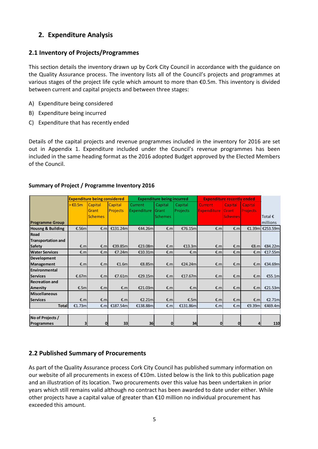## **2. Expenditure Analysis**

## **2.1 Inventory of Projects/Programmes**

This section details the inventory drawn up by Cork City Council in accordance with the guidance on the Quality Assurance process. The inventory lists all of the Council's projects and programmes at various stages of the project life cycle which amount to more than €0.5m. This inventory is divided between current and capital projects and between three stages:

- A) Expenditure being considered
- B) Expenditure being incurred
- C) Expenditure that has recently ended

Details of the capital projects and revenue programmes included in the inventory for 2016 are set out in Appendix 1. Expenditure included under the Council's revenue programmes has been included in the same heading format as the 2016 adopted Budget approved by the Elected Members of the Council.

|                              |                      | <b>Expenditure being considered</b> |                 |             | <b>Expenditure being incurred</b> |          | <b>Expenditure recently ended</b> |                |                 |                  |
|------------------------------|----------------------|-------------------------------------|-----------------|-------------|-----------------------------------|----------|-----------------------------------|----------------|-----------------|------------------|
|                              | $\geq \epsilon$ 0.5m | Capital                             | <b>Capital</b>  | Current     | Capital                           | Capital  | Current,                          | Capital        | <b>Capital</b>  |                  |
|                              |                      | Grant                               | <b>Projects</b> | Expenditure | Grant                             | Projects | <b>Expenditure</b>                | Grant          | <b>Projects</b> |                  |
|                              |                      | <b>Schemes</b>                      |                 |             | <b>Schemes</b>                    |          |                                   | <b>Schemes</b> |                 | Total $\epsilon$ |
| <b>Programme Group</b>       |                      |                                     |                 |             |                                   |          |                                   |                |                 | millions         |
| <b>Housng &amp; Building</b> | €.56m                | E.m                                 | €131.24m        | €44.26m     | €.m                               | €76.15ml | E.m                               | €.m            |                 | €1.39m E253.59m  |
| Road                         |                      |                                     |                 |             |                                   |          |                                   |                |                 |                  |
| <b>Transportation and</b>    |                      |                                     |                 |             |                                   |          |                                   |                |                 |                  |
| <b>Safety</b>                | €.m                  | E.m                                 | €39.85m         | €23.08m     | E.m                               | £13.3m   | €.m                               | €.m            | €8.ml           | €84.22m          |
| <b>Water Services</b>        | E.m                  | €.m                                 | €7.24m          | €10.31m     | €.m                               | €.m      | €.m                               | €.m            | €.m             | €17.55m          |
| Development                  |                      |                                     |                 |             |                                   |          |                                   |                |                 |                  |
| Management                   | €.m                  | €.m                                 | £1.6m           | €8.85m      | €.m                               | €24.24m  | €.m                               | €.m            | E.m             | €34.69m          |
| Environmental                |                      |                                     |                 |             |                                   |          |                                   |                |                 |                  |
| <b>Services</b>              | €.67m                | E.m                                 | €7.61m          | €29.15m     | €.m                               | €17.67m  | €.m                               | €.m            | €.m             | €55.1m           |
| <b>Recreation and</b>        |                      |                                     |                 |             |                                   |          |                                   |                |                 |                  |
| Amenity                      | €.5m                 | €.m                                 | E.m             | €21.03m     | E.m                               | E.m      | €.m                               | E.m            | €.m             | £21.53m          |
| <b>Miscellaneous</b>         |                      |                                     |                 |             |                                   |          |                                   |                |                 |                  |
| <b>Services</b>              | €.m                  | €.m                                 | E.m             | €2.21m      | E.m                               | €.5m     | E.m                               | E.m            | E.m             | €2.71m           |
| <b>Total</b>                 | €1.73m               | €.m                                 | €187.54m        | €138.88m    | E.m                               | €131.86m | €.m                               | €.m            | €9.39m          | €469.4m          |
|                              |                      |                                     |                 |             |                                   |          |                                   |                |                 |                  |
| No of Projects /             |                      |                                     |                 |             |                                   |          |                                   |                |                 |                  |
| Programmes                   | 3 <sup>l</sup>       | 0                                   | 33              | 36          | $\mathbf{0}$                      | 34       | $\mathbf{0}$                      | $\overline{0}$ | 4               | 110              |

#### **Summary of Project / Programme Inventory 2016**

## **2.2 Published Summary of Procurements**

As part of the Quality Assurance process Cork City Council has published summary information on our website of all procurements in excess of €10m. Listed below is the link to this publication page and an illustration of its location. Two procurements over this value has been undertaken in prior years which still remains valid although no contract has been awarded to date under either. While other projects have a capital value of greater than €10 million no individual procurement has exceeded this amount.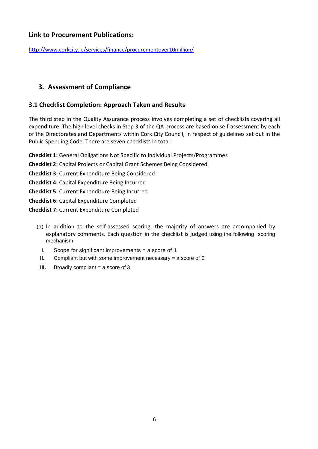## **Link to Procurement Publications:**

<http://www.corkcity.ie/services/finance/procurementover10million/>

## **3. Assessment of Compliance**

## **3.1 Checklist Completion: Approach Taken and Results**

The third step in the Quality Assurance process involves completing a set of checklists covering all expenditure. The high level checks in Step 3 of the QA process are based on self-assessment by each of the Directorates and Departments within Cork City Council, in respect of guidelines set out in the Public Spending Code. There are seven checklists in total:

**Checklist 1:** General Obligations Not Specific to Individual Projects/Programmes

- **Checklist 2:** Capital Projects or Capital Grant Schemes Being Considered
- **Checklist 3:** Current Expenditure Being Considered
- **Checklist 4:** Capital Expenditure Being Incurred
- **Checklist 5:** Current Expenditure Being Incurred
- **Checklist 6:** Capital Expenditure Completed
- **Checklist 7:** Current Expenditure Completed
	- (a) In addition to the self-assessed scoring, the majority of answers are accompanied by explanatory comments. Each question in the checklist is judged using the following scoring mechanism:
		- I. Scope for significant improvements = a score of 1
		- **II.** Compliant but with some improvement necessary = a score of 2
		- **III.** Broadly compliant = a score of 3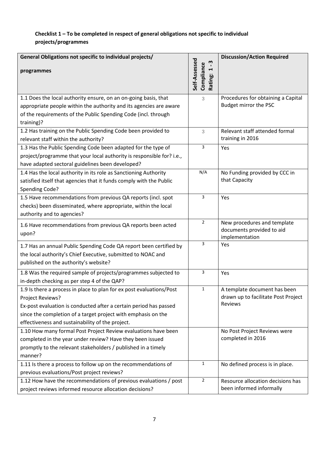## **Checklist 1 – To be completed in respect of general obligations not specific to individual projects/programmes**

| General Obligations not specific to individual projects/<br>programmes                                                                                                                                                                                                             | m<br>4                                 | <b>Discussion/Action Required</b>                                              |
|------------------------------------------------------------------------------------------------------------------------------------------------------------------------------------------------------------------------------------------------------------------------------------|----------------------------------------|--------------------------------------------------------------------------------|
|                                                                                                                                                                                                                                                                                    | Self-Assessed<br>Compliance<br>Rating: |                                                                                |
| 1.1 Does the local authority ensure, on an on-going basis, that<br>appropriate people within the authority and its agencies are aware<br>of the requirements of the Public Spending Code (incl. through<br>training)?                                                              | 3                                      | Procedures for obtaining a Capital<br>Budget mirror the PSC                    |
| 1.2 Has training on the Public Spending Code been provided to<br>relevant staff within the authority?                                                                                                                                                                              | 3                                      | Relevant staff attended formal<br>training in 2016                             |
| 1.3 Has the Public Spending Code been adapted for the type of<br>project/programme that your local authority is responsible for? i.e.,<br>have adapted sectoral guidelines been developed?                                                                                         | 3                                      | Yes                                                                            |
| 1.4 Has the local authority in its role as Sanctioning Authority<br>satisfied itself that agencies that it funds comply with the Public<br>Spending Code?                                                                                                                          | N/A                                    | No Funding provided by CCC in<br>that Capacity                                 |
| 1.5 Have recommendations from previous QA reports (incl. spot<br>checks) been disseminated, where appropriate, within the local<br>authority and to agencies?                                                                                                                      | 3                                      | Yes                                                                            |
| 1.6 Have recommendations from previous QA reports been acted<br>upon?                                                                                                                                                                                                              | $\overline{2}$                         | New procedures and template<br>documents provided to aid<br>implementation     |
| 1.7 Has an annual Public Spending Code QA report been certified by<br>the local authority's Chief Executive, submitted to NOAC and<br>published on the authority's website?                                                                                                        | 3                                      | Yes                                                                            |
| 1.8 Was the required sample of projects/programmes subjected to<br>in-depth checking as per step 4 of the QAP?                                                                                                                                                                     | 3                                      | Yes                                                                            |
| 1.9 Is there a process in place to plan for ex post evaluations/Post<br>Project Reviews?<br>Ex-post evaluation is conducted after a certain period has passed<br>since the completion of a target project with emphasis on the<br>effectiveness and sustainability of the project. | $\mathbf{1}$                           | A template document has been<br>drawn up to facilitate Post Project<br>Reviews |
| 1.10 How many formal Post Project Review evaluations have been<br>completed in the year under review? Have they been issued<br>promptly to the relevant stakeholders / published in a timely<br>manner?                                                                            |                                        | No Post Project Reviews were<br>completed in 2016                              |
| 1.11 Is there a process to follow up on the recommendations of<br>previous evaluations/Post project reviews?                                                                                                                                                                       | $\mathbf{1}$                           | No defined process is in place.                                                |
| 1.12 How have the recommendations of previous evaluations / post<br>project reviews informed resource allocation decisions?                                                                                                                                                        | $\overline{2}$                         | Resource allocation decisions has<br>been informed informally                  |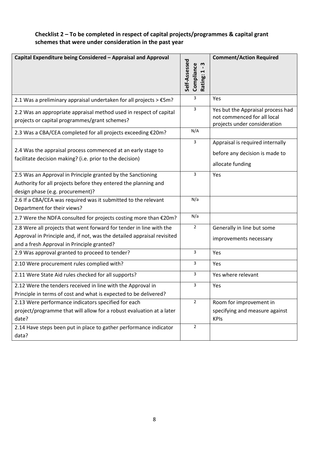## **Checklist 2 – To be completed in respect of capital projects/programmes & capital grant schemes that were under consideration in the past year**

| Capital Expenditure being Considered - Appraisal and Approval                                                                                                                                | Self-Assessed<br>w<br>Compliance<br>$\blacksquare$<br>$\blacktriangleright$<br>Rating: | <b>Comment/Action Required</b>                                                                   |
|----------------------------------------------------------------------------------------------------------------------------------------------------------------------------------------------|----------------------------------------------------------------------------------------|--------------------------------------------------------------------------------------------------|
| 2.1 Was a preliminary appraisal undertaken for all projects $> \text{\textsterling}5m$ ?                                                                                                     | 3                                                                                      | Yes                                                                                              |
| 2.2 Was an appropriate appraisal method used in respect of capital<br>projects or capital programmes/grant schemes?                                                                          | 3                                                                                      | Yes but the Appraisal process had<br>not commenced for all local<br>projects under consideration |
| 2.3 Was a CBA/CEA completed for all projects exceeding €20m?                                                                                                                                 | N/A                                                                                    |                                                                                                  |
| 2.4 Was the appraisal process commenced at an early stage to<br>facilitate decision making? (i.e. prior to the decision)                                                                     | 3                                                                                      | Appraisal is required internally<br>before any decision is made to<br>allocate funding           |
| 2.5 Was an Approval in Principle granted by the Sanctioning<br>Authority for all projects before they entered the planning and<br>design phase (e.g. procurement)?                           | 3                                                                                      | Yes                                                                                              |
| 2.6 If a CBA/CEA was required was it submitted to the relevant<br>Department for their views?                                                                                                | N/a                                                                                    |                                                                                                  |
| 2.7 Were the NDFA consulted for projects costing more than €20m?                                                                                                                             | N/a                                                                                    |                                                                                                  |
| 2.8 Were all projects that went forward for tender in line with the<br>Approval in Principle and, if not, was the detailed appraisal revisited<br>and a fresh Approval in Principle granted? | $\overline{2}$                                                                         | Generally in line but some<br>improvements necessary                                             |
| 2.9 Was approval granted to proceed to tender?                                                                                                                                               | 3                                                                                      | Yes                                                                                              |
| 2.10 Were procurement rules complied with?                                                                                                                                                   | 3                                                                                      | Yes                                                                                              |
| 2.11 Were State Aid rules checked for all supports?                                                                                                                                          | 3                                                                                      | Yes where relevant                                                                               |
| 2.12 Were the tenders received in line with the Approval in<br>Principle in terms of cost and what is expected to be delivered?                                                              | 3                                                                                      | Yes                                                                                              |
| 2.13 Were performance indicators specified for each<br>project/programme that will allow for a robust evaluation at a later<br>date?                                                         | $\overline{2}$                                                                         | Room for improvement in<br>specifying and measure against<br><b>KPIs</b>                         |
| 2.14 Have steps been put in place to gather performance indicator<br>data?                                                                                                                   | $\overline{2}$                                                                         |                                                                                                  |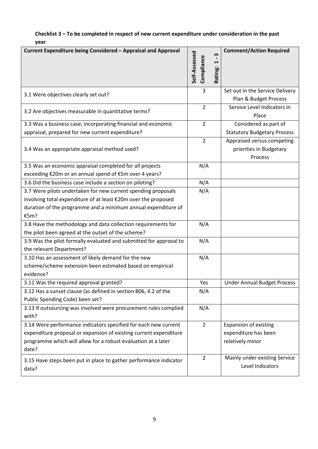## **Checklist 3 – To be completed in respect of new current expenditure under consideration in the past year**

| Current Expenditure being Considered - Appraisal and Approval              | Self-Assessed<br>Compliance | m<br>$\blacksquare$<br>1<br>Rating: | <b>Comment/Action Required</b>                                   |
|----------------------------------------------------------------------------|-----------------------------|-------------------------------------|------------------------------------------------------------------|
| 3.1 Were objectives clearly set out?                                       | 3                           |                                     | Set out in the Service Delivery<br>Plan & Budget Process         |
| 3.2 Are objectives measurable in quantitative terms?                       | $\overline{2}$              |                                     | Service Level Indicators in<br>Place                             |
| 3.3 Was a business case, incorporating financial and economic              | $\overline{2}$              |                                     | Considered as part of                                            |
| appraisal, prepared for new current expenditure?                           |                             |                                     | <b>Statutory Budgetary Process</b>                               |
| 3.4 Was an appropriate appraisal method used?                              | $\overline{2}$              |                                     | Appraised versus competing<br>priorities in Budgetary<br>Process |
| 3.5 Was an economic appraisal completed for all projects                   | N/A                         |                                     |                                                                  |
| exceeding €20m or an annual spend of €5m over 4 years?                     |                             |                                     |                                                                  |
| 3.6 Did the business case include a section on piloting?                   | N/A                         |                                     |                                                                  |
| 3.7 Were pilots undertaken for new current spending proposals              | N/A                         |                                     |                                                                  |
| involving total expenditure of at least €20m over the proposed             |                             |                                     |                                                                  |
| duration of the programme and a minimum annual expenditure of              |                             |                                     |                                                                  |
| €5m?                                                                       |                             |                                     |                                                                  |
| 3.8 Have the methodology and data collection requirements for              | N/A                         |                                     |                                                                  |
| the pilot been agreed at the outset of the scheme?                         |                             |                                     |                                                                  |
| 3.9 Was the pilot formally evaluated and submitted for approval to         | N/A                         |                                     |                                                                  |
| the relevant Department?                                                   |                             |                                     |                                                                  |
| 3.10 Has an assessment of likely demand for the new                        | N/A                         |                                     |                                                                  |
| scheme/scheme extension been estimated based on empirical                  |                             |                                     |                                                                  |
| evidence?                                                                  |                             |                                     |                                                                  |
| 3.11 Was the required approval granted?                                    | Yes                         |                                     | <b>Under Annual Budget Process</b>                               |
| 3.12 Has a sunset clause (as defined in section B06, 4.2 of the            | N/A                         |                                     |                                                                  |
| Public Spending Code) been set?                                            |                             |                                     |                                                                  |
| 3.13 If outsourcing was involved were procurement rules complied           | N/A                         |                                     |                                                                  |
| with?                                                                      |                             |                                     |                                                                  |
| 3.14 Were performance indicators specified for each new current            | $\overline{2}$              |                                     | <b>Expansion of existing</b>                                     |
| expenditure proposal or expansion of existing current expenditure          |                             |                                     | expenditure has been                                             |
| programme which will allow for a robust evaluation at a later              |                             |                                     | relatively minor                                                 |
| date?                                                                      |                             |                                     |                                                                  |
| 3.15 Have steps been put in place to gather performance indicator<br>data? | $\overline{2}$              |                                     | Mainly under existing Service<br>Level Indicators                |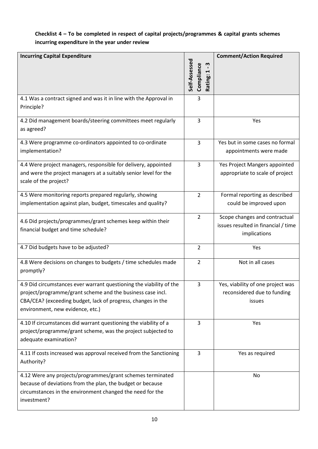## **Checklist 4 – To be completed in respect of capital projects/programmes & capital grants schemes incurring expenditure in the year under review**

| <b>Incurring Capital Expenditure</b>                                                                                                                                                                                                  | <b>Comment/Action Required</b>                   |                                                                                      |  |  |  |  |
|---------------------------------------------------------------------------------------------------------------------------------------------------------------------------------------------------------------------------------------|--------------------------------------------------|--------------------------------------------------------------------------------------|--|--|--|--|
|                                                                                                                                                                                                                                       | Self-Assessed<br>w<br>Compliance<br>H<br>Rating: |                                                                                      |  |  |  |  |
| 4.1 Was a contract signed and was it in line with the Approval in<br>Principle?                                                                                                                                                       | 3                                                |                                                                                      |  |  |  |  |
| 4.2 Did management boards/steering committees meet regularly<br>as agreed?                                                                                                                                                            | 3                                                | Yes                                                                                  |  |  |  |  |
| 4.3 Were programme co-ordinators appointed to co-ordinate<br>implementation?                                                                                                                                                          | 3                                                | Yes but in some cases no formal<br>appointments were made                            |  |  |  |  |
| 4.4 Were project managers, responsible for delivery, appointed<br>and were the project managers at a suitably senior level for the<br>scale of the project?                                                                           | 3                                                | Yes Project Mangers appointed<br>appropriate to scale of project                     |  |  |  |  |
| 4.5 Were monitoring reports prepared regularly, showing<br>implementation against plan, budget, timescales and quality?                                                                                                               | 2                                                | Formal reporting as described<br>could be improved upon                              |  |  |  |  |
| 4.6 Did projects/programmes/grant schemes keep within their<br>financial budget and time schedule?                                                                                                                                    | 2                                                | Scope changes and contractual<br>issues resulted in financial / time<br>implications |  |  |  |  |
| 4.7 Did budgets have to be adjusted?                                                                                                                                                                                                  | $\overline{2}$                                   | Yes                                                                                  |  |  |  |  |
| 4.8 Were decisions on changes to budgets / time schedules made<br>promptly?                                                                                                                                                           | 2                                                | Not in all cases                                                                     |  |  |  |  |
| 4.9 Did circumstances ever warrant questioning the viability of the<br>project/programme/grant scheme and the business case incl.<br>CBA/CEA? (exceeding budget, lack of progress, changes in the<br>environment, new evidence, etc.) | 3                                                | Yes, viability of one project was<br>reconsidered due to funding<br>issues           |  |  |  |  |
| 4.10 If circumstances did warrant questioning the viability of a<br>project/programme/grant scheme, was the project subjected to<br>adequate examination?                                                                             | 3                                                | Yes                                                                                  |  |  |  |  |
| 4.11 If costs increased was approval received from the Sanctioning<br>Authority?                                                                                                                                                      | 3                                                | Yes as required                                                                      |  |  |  |  |
| 4.12 Were any projects/programmes/grant schemes terminated<br>because of deviations from the plan, the budget or because<br>circumstances in the environment changed the need for the<br>investment?                                  |                                                  | No                                                                                   |  |  |  |  |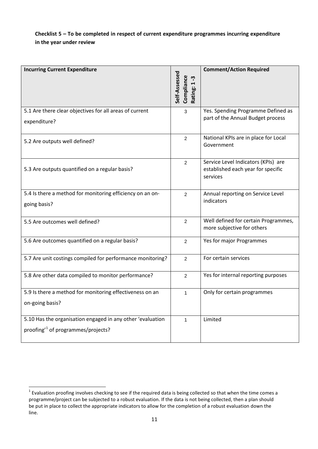#### **Checklist 5 – To be completed in respect of current expenditure programmes incurring expenditure in the year under review**

| <b>Incurring Current Expenditure</b>                       | Self-Assessed<br>Compliance<br>ကု<br>Rating: 1 | <b>Comment/Action Required</b>                                          |
|------------------------------------------------------------|------------------------------------------------|-------------------------------------------------------------------------|
|                                                            |                                                |                                                                         |
| 5.1 Are there clear objectives for all areas of current    | 3                                              | Yes. Spending Programme Defined as<br>part of the Annual Budget process |
| expenditure?                                               |                                                |                                                                         |
| 5.2 Are outputs well defined?                              | $\overline{2}$                                 | National KPIs are in place for Local<br>Government                      |
|                                                            |                                                |                                                                         |
|                                                            | $\overline{2}$                                 | Service Level Indicators (KPIs) are                                     |
| 5.3 Are outputs quantified on a regular basis?             |                                                | established each year for specific<br>services                          |
|                                                            |                                                |                                                                         |
| 5.4 Is there a method for monitoring efficiency on an on-  | 2                                              | Annual reporting on Service Level                                       |
| going basis?                                               |                                                | indicators                                                              |
| 5.5 Are outcomes well defined?                             | $\overline{c}$                                 | Well defined for certain Programmes,                                    |
|                                                            |                                                | more subjective for others                                              |
| 5.6 Are outcomes quantified on a regular basis?            | $\overline{2}$                                 | Yes for major Programmes                                                |
|                                                            |                                                |                                                                         |
| 5.7 Are unit costings compiled for performance monitoring? | $\overline{2}$                                 | For certain services                                                    |
| 5.8 Are other data compiled to monitor performance?        | $\overline{2}$                                 | Yes for internal reporting purposes                                     |
| 5.9 Is there a method for monitoring effectiveness on an   | $\mathbf{1}$                                   | Only for certain programmes                                             |
| on-going basis?                                            |                                                |                                                                         |
|                                                            |                                                |                                                                         |
| 5.10 Has the organisation engaged in any other 'evaluation | $\mathbf{1}$                                   | Limited                                                                 |
| proofing <sup>1</sup> of programmes/projects?              |                                                |                                                                         |
|                                                            |                                                |                                                                         |

<span id="page-10-0"></span> $1$  Evaluation proofing involves checking to see if the required data is being collected so that when the time comes a programme/project can be subjected to a robust evaluation. If the data is not being collected, then a plan should be put in place to collect the appropriate indicators to allow for the completion of a robust evaluation down the line.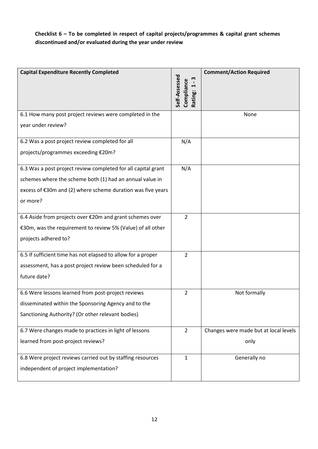## **Checklist 6 – To be completed in respect of capital projects/programmes & capital grant schemes discontinued and/or evaluated during the year under review**

| <b>Capital Expenditure Recently Completed</b>                 |                         | <b>Comment/Action Required</b>        |
|---------------------------------------------------------------|-------------------------|---------------------------------------|
|                                                               | Self-Assessed<br>m<br>H |                                       |
|                                                               | Compliance<br>Rating:   |                                       |
|                                                               |                         |                                       |
| 6.1 How many post project reviews were completed in the       |                         | None                                  |
| year under review?                                            |                         |                                       |
| 6.2 Was a post project review completed for all               | N/A                     |                                       |
| projects/programmes exceeding €20m?                           |                         |                                       |
| 6.3 Was a post project review completed for all capital grant | N/A                     |                                       |
| schemes where the scheme both (1) had an annual value in      |                         |                                       |
| excess of €30m and (2) where scheme duration was five years   |                         |                                       |
| or more?                                                      |                         |                                       |
| 6.4 Aside from projects over €20m and grant schemes over      | $\overline{2}$          |                                       |
| €30m, was the requirement to review 5% (Value) of all other   |                         |                                       |
| projects adhered to?                                          |                         |                                       |
| 6.5 If sufficient time has not elapsed to allow for a proper  | $\overline{2}$          |                                       |
| assessment, has a post project review been scheduled for a    |                         |                                       |
| future date?                                                  |                         |                                       |
| 6.6 Were lessons learned from post-project reviews            | $\overline{2}$          | Not formally                          |
| disseminated within the Sponsoring Agency and to the          |                         |                                       |
| Sanctioning Authority? (Or other relevant bodies)             |                         |                                       |
| 6.7 Were changes made to practices in light of lessons        | $\overline{2}$          | Changes were made but at local levels |
| learned from post-project reviews?                            |                         | only                                  |
| 6.8 Were project reviews carried out by staffing resources    | $\mathbf{1}$            | Generally no                          |
| independent of project implementation?                        |                         |                                       |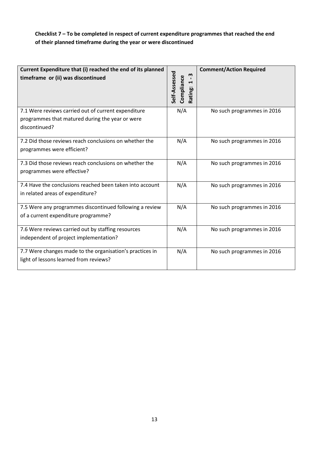## **Checklist 7 – To be completed in respect of current expenditure programmes that reached the end of their planned timeframe during the year or were discontinued**

| Current Expenditure that (i) reached the end of its planned<br>timeframe or (ii) was discontinued                       | Self-Assessed<br>m<br>Compliance<br>H<br>Rating: | <b>Comment/Action Required</b> |
|-------------------------------------------------------------------------------------------------------------------------|--------------------------------------------------|--------------------------------|
| 7.1 Were reviews carried out of current expenditure<br>programmes that matured during the year or were<br>discontinued? | N/A                                              | No such programmes in 2016     |
| 7.2 Did those reviews reach conclusions on whether the<br>programmes were efficient?                                    | N/A                                              | No such programmes in 2016     |
| 7.3 Did those reviews reach conclusions on whether the<br>programmes were effective?                                    | N/A                                              | No such programmes in 2016     |
| 7.4 Have the conclusions reached been taken into account<br>in related areas of expenditure?                            | N/A                                              | No such programmes in 2016     |
| 7.5 Were any programmes discontinued following a review<br>of a current expenditure programme?                          | N/A                                              | No such programmes in 2016     |
| 7.6 Were reviews carried out by staffing resources<br>independent of project implementation?                            | N/A                                              | No such programmes in 2016     |
| 7.7 Were changes made to the organisation's practices in<br>light of lessons learned from reviews?                      | N/A                                              | No such programmes in 2016     |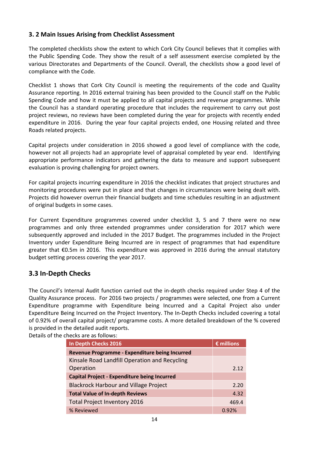## **3. 2 Main Issues Arising from Checklist Assessment**

The completed checklists show the extent to which Cork City Council believes that it complies with the Public Spending Code. They show the result of a self assessment exercise completed by the various Directorates and Departments of the Council. Overall, the checklists show a good level of compliance with the Code.

Checklist 1 shows that Cork City Council is meeting the requirements of the code and Quality Assurance reporting. In 2016 external training has been provided to the Council staff on the Public Spending Code and how it must be applied to all capital projects and revenue programmes. While the Council has a standard operating procedure that includes the requirement to carry out post project reviews, no reviews have been completed during the year for projects with recently ended expenditure in 2016. During the year four capital projects ended, one Housing related and three Roads related projects.

Capital projects under consideration in 2016 showed a good level of compliance with the code, however not all projects had an appropriate level of appraisal completed by year end. Identifying appropriate performance indicators and gathering the data to measure and support subsequent evaluation is proving challenging for project owners.

For capital projects incurring expenditure in 2016 the checklist indicates that project structures and monitoring procedures were put in place and that changes in circumstances were being dealt with. Projects did however overrun their financial budgets and time schedules resulting in an adjustment of original budgets in some cases.

For Current Expenditure programmes covered under checklist 3, 5 and 7 there were no new programmes and only three extended programmes under consideration for 2017 which were subsequently approved and included in the 2017 Budget. The programmes included in the Project Inventory under Expenditure Being Incurred are in respect of programmes that had expenditure greater that €0.5m in 2016. This expenditure was approved in 2016 during the annual statutory budget setting process covering the year 2017.

## **3.3 In-Depth Checks**

The Council's Internal Audit function carried out the in-depth checks required under Step 4 of the Quality Assurance process. For 2016 two projects / programmes were selected, one from a Current Expenditure programme with Expenditure being Incurred and a Capital Project also under Expenditure Being Incurred on the Project Inventory. The In-Depth Checks included covering a total of 0.92% of overall capital project/ programme costs. A more detailed breakdown of the % covered is provided in the detailed audit reports.

| Details of the checks are as follows:               |                     |
|-----------------------------------------------------|---------------------|
| In Depth Checks 2016                                | $\epsilon$ millions |
| Revenue Programme - Expenditure being Incurred      |                     |
| Kinsale Road Landfill Operation and Recycling       |                     |
| Operation                                           | 2.12                |
| <b>Capital Project - Expenditure being Incurred</b> |                     |
| <b>Blackrock Harbour and Village Project</b>        | 2.20                |
| <b>Total Value of In-depth Reviews</b>              | 4.32                |
| <b>Total Project Inventory 2016</b>                 | 469.4               |
| % Reviewed                                          | 0.92%               |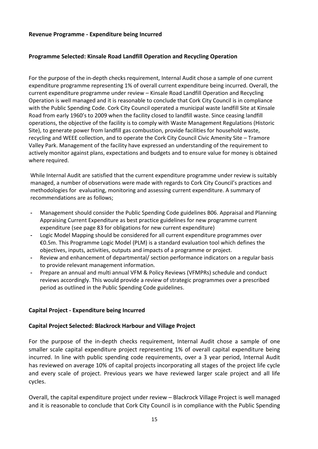#### **Revenue Programme - Expenditure being Incurred**

#### **Programme Selected: Kinsale Road Landfill Operation and Recycling Operation**

For the purpose of the in-depth checks requirement, Internal Audit chose a sample of one current expenditure programme representing 1% of overall current expenditure being incurred. Overall, the current expenditure programme under review – Kinsale Road Landfill Operation and Recycling Operation is well managed and it is reasonable to conclude that Cork City Council is in compliance with the Public Spending Code. Cork City Council operated a municipal waste landfill Site at Kinsale Road from early 1960's to 2009 when the facility closed to landfill waste. Since ceasing landfill operations, the objective of the facility is to comply with Waste Management Regulations (Historic Site), to generate power from landfill gas combustion, provide facilities for household waste, recycling and WEEE collection, and to operate the Cork City Council Civic Amenity Site – Tramore Valley Park. Management of the facility have expressed an understanding of the requirement to actively monitor against plans, expectations and budgets and to ensure value for money is obtained where required.

While Internal Audit are satisfied that the current expenditure programme under review is suitably managed, a number of observations were made with regards to Cork City Council's practices and methodologies for evaluating, monitoring and assessing current expenditure. A summary of recommendations are as follows;

- **-** Management should consider the Public Spending Code guidelines B06. Appraisal and Planning Appraising Current Expenditure as best practice guidelines for new programme current expenditure (see page 83 for obligations for new current expenditure)
- **-** Logic Model Mapping should be considered for all current expenditure programmes over €0.5m. This Programme Logic Model (PLM) is a standard evaluation tool which defines the objectives, inputs, activities, outputs and impacts of a programme or project.
- **-** Review and enhancement of departmental/ section performance indicators on a regular basis to provide relevant management information.
- **-** Prepare an annual and multi annual VFM & Policy Reviews (VFMPRs) schedule and conduct reviews accordingly. This would provide a review of strategic programmes over a prescribed period as outlined in the Public Spending Code guidelines.

#### **Capital Project - Expenditure being Incurred**

#### **Capital Project Selected: Blackrock Harbour and Village Project**

For the purpose of the in-depth checks requirement, Internal Audit chose a sample of one smaller scale capital expenditure project representing 1% of overall capital expenditure being incurred. In line with public spending code requirements, over a 3 year period, Internal Audit has reviewed on average 10% of capital projects incorporating all stages of the project life cycle and every scale of project. Previous years we have reviewed larger scale project and all life cycles.

Overall, the capital expenditure project under review – Blackrock Village Project is well managed and it is reasonable to conclude that Cork City Council is in compliance with the Public Spending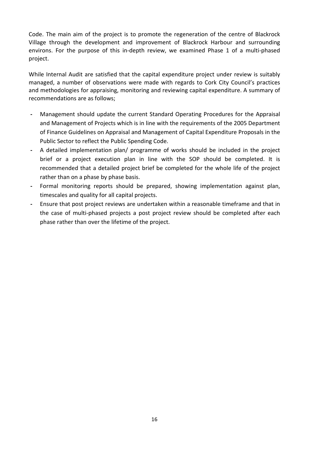Code. The main aim of the project is to promote the regeneration of the centre of Blackrock Village through the development and improvement of Blackrock Harbour and surrounding environs. For the purpose of this in-depth review, we examined Phase 1 of a multi-phased project.

While Internal Audit are satisfied that the capital expenditure project under review is suitably managed, a number of observations were made with regards to Cork City Council's practices and methodologies for appraising, monitoring and reviewing capital expenditure. A summary of recommendations are as follows;

- **-** Management should update the current Standard Operating Procedures for the Appraisal and Management of Projects which is in line with the requirements of the 2005 Department of Finance Guidelines on Appraisal and Management of Capital Expenditure Proposals in the Public Sector to reflect the Public Spending Code.
- **-** A detailed implementation plan/ programme of works should be included in the project brief or a project execution plan in line with the SOP should be completed. It is recommended that a detailed project brief be completed for the whole life of the project rather than on a phase by phase basis.
- **-** Formal monitoring reports should be prepared, showing implementation against plan, timescales and quality for all capital projects.
- **-** Ensure that post project reviews are undertaken within a reasonable timeframe and that in the case of multi-phased projects a post project review should be completed after each phase rather than over the lifetime of the project.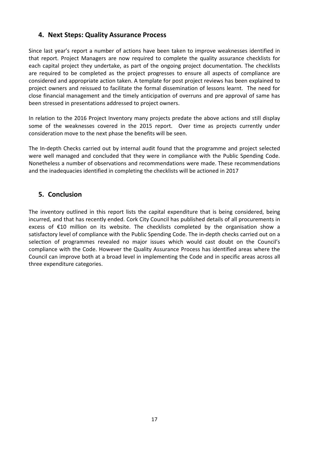## **4. Next Steps: Quality Assurance Process**

Since last year's report a number of actions have been taken to improve weaknesses identified in that report. Project Managers are now required to complete the quality assurance checklists for each capital project they undertake, as part of the ongoing project documentation. The checklists are required to be completed as the project progresses to ensure all aspects of compliance are considered and appropriate action taken. A template for post project reviews has been explained to project owners and reissued to facilitate the formal dissemination of lessons learnt. The need for close financial management and the timely anticipation of overruns and pre approval of same has been stressed in presentations addressed to project owners.

In relation to the 2016 Project Inventory many projects predate the above actions and still display some of the weaknesses covered in the 2015 report. Over time as projects currently under consideration move to the next phase the benefits will be seen.

The In-depth Checks carried out by internal audit found that the programme and project selected were well managed and concluded that they were in compliance with the Public Spending Code. Nonetheless a number of observations and recommendations were made. These recommendations and the inadequacies identified in completing the checklists will be actioned in 2017

## **5. Conclusion**

The inventory outlined in this report lists the capital expenditure that is being considered, being incurred, and that has recently ended. Cork City Council has published details of all procurements in excess of €10 million on its website. The checklists completed by the organisation show a satisfactory level of compliance with the Public Spending Code. The in-depth checks carried out on a selection of programmes revealed no major issues which would cast doubt on the Council's compliance with the Code. However the Quality Assurance Process has identified areas where the Council can improve both at a broad level in implementing the Code and in specific areas across all three expenditure categories.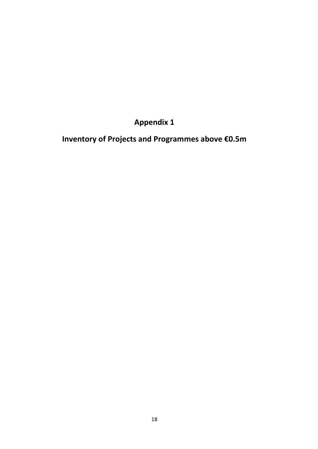**Appendix 1**

**Inventory of Projects and Programmes above €0.5m**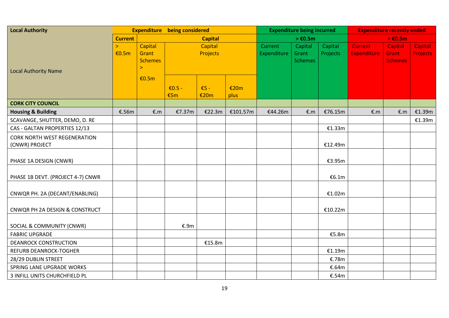| <b>Local Authority</b>                                |                 |                                              | <b>Expenditure</b> being considered |                |              | <b>Expenditure being incurred</b> |                                    |                     | <b>Expenditure recently ended</b>    |                                    |                            |
|-------------------------------------------------------|-----------------|----------------------------------------------|-------------------------------------|----------------|--------------|-----------------------------------|------------------------------------|---------------------|--------------------------------------|------------------------------------|----------------------------|
|                                                       | <b>Current</b>  |                                              |                                     | <b>Capital</b> |              |                                   | $> \epsilon$ 0.5m                  |                     | $> \epsilon$ 0.5m                    |                                    |                            |
| <b>Local Authority Name</b>                           | $\geq$<br>€0.5m | Capital<br>Grant<br><b>Schemes</b><br>$\geq$ | Capital<br>Projects                 |                |              | Current<br>Expenditure            | Capital<br>Grant<br><b>Schemes</b> | Capital<br>Projects | <b>Current</b><br><b>Expenditure</b> | Capital<br>Grant<br><b>Schemes</b> | Capital<br><b>Projects</b> |
|                                                       |                 | €0.5m                                        | $\epsilon$ 0.5 -<br>€5m             | $E5 -$<br>€20m | €20m<br>plus |                                   |                                    |                     |                                      |                                    |                            |
| <b>CORK CITY COUNCIL</b>                              |                 |                                              |                                     |                |              |                                   |                                    |                     |                                      |                                    |                            |
| <b>Housing &amp; Building</b>                         | €.56m           | E.m                                          | €7.37m                              | €22.3m         | €101.57m     | €44.26m                           | E.m                                | €76.15m             | E.m                                  | E.m                                | €1.39m                     |
| SCAVANGE, SHUTTER, DEMO, D. RE                        |                 |                                              |                                     |                |              |                                   |                                    |                     |                                      |                                    | €1.39m                     |
| CAS - GALTAN PROPERTIES 12/13                         |                 |                                              |                                     |                |              |                                   |                                    | €1.33m              |                                      |                                    |                            |
| <b>CORK NORTH WEST REGENERATION</b><br>(CNWR) PROJECT |                 |                                              |                                     |                |              |                                   |                                    | €12.49m             |                                      |                                    |                            |
| PHASE 1A DESIGN (CNWR)                                |                 |                                              |                                     |                |              |                                   |                                    | €3.95m              |                                      |                                    |                            |
| PHASE 1B DEVT. (PROJECT 4-7) CNWR                     |                 |                                              |                                     |                |              |                                   |                                    | €6.1m               |                                      |                                    |                            |
| CNWQR PH. 2A (DECANT/ENABLING)                        |                 |                                              |                                     |                |              |                                   |                                    | €1.02m              |                                      |                                    |                            |
| CNWQR PH 2A DESIGN & CONSTRUCT                        |                 |                                              |                                     |                |              |                                   |                                    | €10.22m             |                                      |                                    |                            |
| SOCIAL & COMMUNITY (CNWR)                             |                 |                                              | €.9m                                |                |              |                                   |                                    |                     |                                      |                                    |                            |
| <b>FABRIC UPGRADE</b>                                 |                 |                                              |                                     |                |              |                                   |                                    | €5.8m               |                                      |                                    |                            |
| <b>DEANROCK CONSTRUCTION</b>                          |                 |                                              |                                     | €15.8m         |              |                                   |                                    |                     |                                      |                                    |                            |
| <b>REFURB DEANROCK-TOGHER</b>                         |                 |                                              |                                     |                |              |                                   |                                    | €1.19m              |                                      |                                    |                            |
| 28/29 DUBLIN STREET                                   |                 |                                              |                                     |                |              |                                   |                                    | €.78m               |                                      |                                    |                            |
| SPRING LANE UPGRADE WORKS                             |                 |                                              |                                     |                |              |                                   |                                    | €.64m               |                                      |                                    |                            |
| 3 INFILL UNITS CHURCHFIELD PL                         |                 |                                              |                                     |                |              |                                   |                                    | €.54m               |                                      |                                    |                            |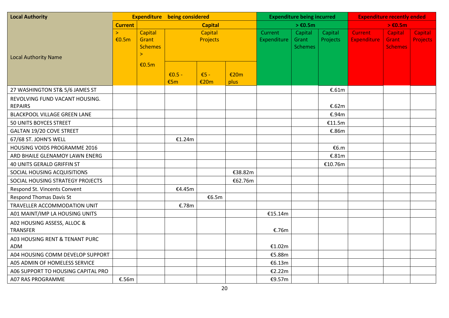| <b>Local Authority</b>                           |                       |                                                    | <b>Expenditure</b> being considered |                |              | <b>Expenditure being incurred</b> |                                    |                     | <b>Expenditure recently ended</b>    |                                    |                                   |
|--------------------------------------------------|-----------------------|----------------------------------------------------|-------------------------------------|----------------|--------------|-----------------------------------|------------------------------------|---------------------|--------------------------------------|------------------------------------|-----------------------------------|
|                                                  | <b>Current</b>        |                                                    | <b>Capital</b>                      |                |              |                                   | $> \epsilon$ 0.5m                  |                     | $> \text{\pounds}0.5m$               |                                    |                                   |
| <b>Local Authority Name</b>                      | $\mathbf{S}$<br>€0.5m | Capital<br>Grant<br><b>Schemes</b><br>$\mathbf{I}$ | Capital<br>Projects                 |                |              | Current<br>Expenditure            | Capital<br>Grant<br><b>Schemes</b> | Capital<br>Projects | <b>Current</b><br><b>Expenditure</b> | Capital<br>Grant<br><b>Schemes</b> | <b>Capital</b><br><b>Projects</b> |
|                                                  |                       | €0.5m                                              | $E0.5 -$<br>€5m                     | $E5 -$<br>€20m | €20m<br>plus |                                   |                                    |                     |                                      |                                    |                                   |
| 27 WASHINGTON ST& 5/6 JAMES ST                   |                       |                                                    |                                     |                |              |                                   |                                    | €.61 $m$            |                                      |                                    |                                   |
| REVOLVING FUND VACANT HOUSING.<br><b>REPAIRS</b> |                       |                                                    |                                     |                |              |                                   |                                    | €.62m               |                                      |                                    |                                   |
| <b>BLACKPOOL VILLAGE GREEN LANE</b>              |                       |                                                    |                                     |                |              |                                   |                                    | €.94m               |                                      |                                    |                                   |
| 50 UNITS BOYCES STREET                           |                       |                                                    |                                     |                |              |                                   |                                    | €11.5m              |                                      |                                    |                                   |
| <b>GALTAN 19/20 COVE STREET</b>                  |                       |                                                    |                                     |                |              |                                   |                                    | €.86m               |                                      |                                    |                                   |
| 67/68 ST. JOHN'S WELL                            |                       |                                                    | €1.24m                              |                |              |                                   |                                    |                     |                                      |                                    |                                   |
| HOUSING VOIDS PROGRAMME 2016                     |                       |                                                    |                                     |                |              |                                   |                                    | €6.m                |                                      |                                    |                                   |
| ARD BHAILE GLENAMOY LAWN ENERG                   |                       |                                                    |                                     |                |              |                                   |                                    | €.81m               |                                      |                                    |                                   |
| 40 UNITS GERALD GRIFFIN ST                       |                       |                                                    |                                     |                |              |                                   |                                    | €10.76m             |                                      |                                    |                                   |
| SOCIAL HOUSING ACQUISITIONS                      |                       |                                                    |                                     |                | €38.82m      |                                   |                                    |                     |                                      |                                    |                                   |
| SOCIAL HOUSING STRATEGY PROJECTS                 |                       |                                                    |                                     |                | €62.76m      |                                   |                                    |                     |                                      |                                    |                                   |
| Respond St. Vincents Convent                     |                       |                                                    | €4.45m                              |                |              |                                   |                                    |                     |                                      |                                    |                                   |
| <b>Respond Thomas Davis St</b>                   |                       |                                                    |                                     | €6.5m          |              |                                   |                                    |                     |                                      |                                    |                                   |
| TRAVELLER ACCOMMODATION UNIT                     |                       |                                                    | €.78m                               |                |              |                                   |                                    |                     |                                      |                                    |                                   |
| A01 MAINT/IMP LA HOUSING UNITS                   |                       |                                                    |                                     |                |              | €15.14m                           |                                    |                     |                                      |                                    |                                   |
| A02 HOUSING ASSESS, ALLOC &<br><b>TRANSFER</b>   |                       |                                                    |                                     |                |              | €.76m                             |                                    |                     |                                      |                                    |                                   |
| A03 HOUSING RENT & TENANT PURC<br><b>ADM</b>     |                       |                                                    |                                     |                |              | €1.02m                            |                                    |                     |                                      |                                    |                                   |
| A04 HOUSING COMM DEVELOP SUPPORT                 |                       |                                                    |                                     |                |              | €5.88m                            |                                    |                     |                                      |                                    |                                   |
| A05 ADMIN OF HOMELESS SERVICE                    |                       |                                                    |                                     |                |              | €6.13m                            |                                    |                     |                                      |                                    |                                   |
| A06 SUPPORT TO HOUSING CAPITAL PRO               |                       |                                                    |                                     |                |              | €2.22m                            |                                    |                     |                                      |                                    |                                   |
| A07 RAS PROGRAMME                                | €.56m                 |                                                    |                                     |                |              | €9.57m                            |                                    |                     |                                      |                                    |                                   |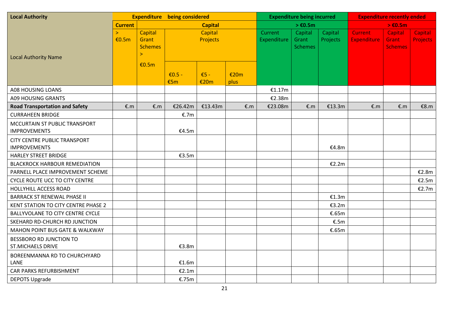| <b>Local Authority</b>                | <b>Expenditure</b> being considered |                                | <b>Expenditure being incurred</b> |                |      | <b>Expenditure recently ended</b> |                   |          |                    |                   |                 |
|---------------------------------------|-------------------------------------|--------------------------------|-----------------------------------|----------------|------|-----------------------------------|-------------------|----------|--------------------|-------------------|-----------------|
|                                       | <b>Current</b>                      |                                |                                   | <b>Capital</b> |      |                                   | $> \epsilon$ 0.5m |          |                    | $> \epsilon$ 0.5m |                 |
|                                       | Š.                                  | Capital                        |                                   | Capital        |      | Current                           | Capital           | Capital  | <b>Current</b>     | Capital           | Capital         |
|                                       | €0.5m                               | Grant                          |                                   | Projects       |      | Expenditure                       | Grant             | Projects | <b>Expenditure</b> | <b>Grant</b>      | <b>Projects</b> |
|                                       |                                     | <b>Schemes</b><br>$\mathbf{I}$ |                                   |                |      |                                   | <b>Schemes</b>    |          |                    | <b>Schemes</b>    |                 |
| <b>Local Authority Name</b>           |                                     |                                |                                   |                |      |                                   |                   |          |                    |                   |                 |
|                                       |                                     | €0.5m                          |                                   |                |      |                                   |                   |          |                    |                   |                 |
|                                       |                                     |                                | $\epsilon$ 0.5 -                  | $E5 -$         | €20m |                                   |                   |          |                    |                   |                 |
|                                       |                                     |                                | €5m                               | €20m           | plus |                                   |                   |          |                    |                   |                 |
| A08 HOUSING LOANS                     |                                     |                                |                                   |                |      | €1.17m                            |                   |          |                    |                   |                 |
| A09 HOUSING GRANTS                    |                                     |                                |                                   |                |      | €2.38m                            |                   |          |                    |                   |                 |
| <b>Road Transportation and Safety</b> | E.m                                 | €.m                            | €26.42m                           | €13.43m        | E.m  | €23.08m                           | €.m               | €13.3m   | E.m                | E.m               | €8. $m$         |
| <b>CURRAHEEN BRIDGE</b>               |                                     |                                | €.7m                              |                |      |                                   |                   |          |                    |                   |                 |
| MCCURTAIN ST PUBLIC TRANSPORT         |                                     |                                |                                   |                |      |                                   |                   |          |                    |                   |                 |
| <b>IMPROVEMENTS</b>                   |                                     |                                | €4.5m                             |                |      |                                   |                   |          |                    |                   |                 |
| <b>CITY CENTRE PUBLIC TRANSPORT</b>   |                                     |                                |                                   |                |      |                                   |                   |          |                    |                   |                 |
| <b>IMPROVEMENTS</b>                   |                                     |                                |                                   |                |      |                                   |                   | €4.8m    |                    |                   |                 |
| <b>HARLEY STREET BRIDGE</b>           |                                     |                                | €3.5m                             |                |      |                                   |                   |          |                    |                   |                 |
| <b>BLACKROCK HARBOUR REMEDIATION</b>  |                                     |                                |                                   |                |      |                                   |                   | €2.2m    |                    |                   |                 |
| PARNELL PLACE IMPROVEMENT SCHEME      |                                     |                                |                                   |                |      |                                   |                   |          |                    |                   | €2.8m           |
| <b>CYCLE ROUTE UCC TO CITY CENTRE</b> |                                     |                                |                                   |                |      |                                   |                   |          |                    |                   | E2.5m           |
| <b>HOLLYHILL ACCESS ROAD</b>          |                                     |                                |                                   |                |      |                                   |                   |          |                    |                   | €2.7m           |
| <b>BARRACK ST RENEWAL PHASE II</b>    |                                     |                                |                                   |                |      |                                   |                   | €1.3m    |                    |                   |                 |
| KENT STATION TO CITY CENTRE PHASE 2   |                                     |                                |                                   |                |      |                                   |                   | €3.2m    |                    |                   |                 |
| BALLYVOLANE TO CITY CENTRE CYCLE      |                                     |                                |                                   |                |      |                                   |                   | €.65m    |                    |                   |                 |
| SKEHARD RD-CHURCH RD JUNCTION         |                                     |                                |                                   |                |      |                                   |                   | €.5m     |                    |                   |                 |
| MAHON POINT BUS GATE & WALKWAY        |                                     |                                |                                   |                |      |                                   |                   | €.65m    |                    |                   |                 |
| BESSBORO RD JUNCTION TO               |                                     |                                |                                   |                |      |                                   |                   |          |                    |                   |                 |
| <b>ST.MICHAELS DRIVE</b>              |                                     |                                | €3.8m                             |                |      |                                   |                   |          |                    |                   |                 |
| BOREENMANNA RD TO CHURCHYARD          |                                     |                                |                                   |                |      |                                   |                   |          |                    |                   |                 |
| LANE                                  |                                     |                                | €1.6m                             |                |      |                                   |                   |          |                    |                   |                 |
| CAR PARKS REFURBISHMENT               |                                     |                                | €2.1m                             |                |      |                                   |                   |          |                    |                   |                 |
| <b>DEPOTS Upgrade</b>                 |                                     |                                | €.75m                             |                |      |                                   |                   |          |                    |                   |                 |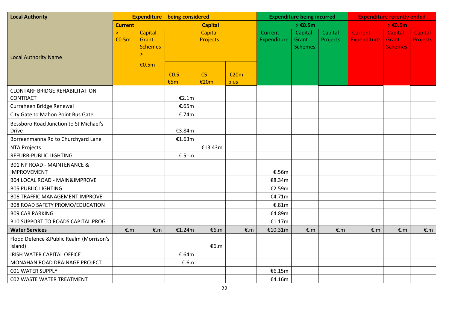| <b>Local Authority</b>                                       | <b>Expenditure</b> being considered |                                                    | <b>Expenditure being incurred</b> |                     |              | <b>Expenditure recently ended</b> |                                    |                     |                                      |                                           |                                   |
|--------------------------------------------------------------|-------------------------------------|----------------------------------------------------|-----------------------------------|---------------------|--------------|-----------------------------------|------------------------------------|---------------------|--------------------------------------|-------------------------------------------|-----------------------------------|
|                                                              | <b>Current</b>                      |                                                    |                                   | <b>Capital</b>      |              |                                   | $> \epsilon$ 0.5m                  |                     |                                      | $> \epsilon$ 0.5m                         |                                   |
| <b>Local Authority Name</b>                                  | Š.<br>€0.5m                         | Capital<br>Grant<br><b>Schemes</b><br>$\mathbf{r}$ |                                   | Capital<br>Projects |              | Current<br>Expenditure            | Capital<br>Grant<br><b>Schemes</b> | Capital<br>Projects | <b>Current</b><br><b>Expenditure</b> | Capital<br><b>Grant</b><br><b>Schemes</b> | <b>Capital</b><br><b>Projects</b> |
|                                                              |                                     | €0.5m                                              | $E0.5 -$<br>€5m                   | $E5 -$<br>€20m      | €20m<br>plus |                                   |                                    |                     |                                      |                                           |                                   |
| <b>CLONTARF BRIDGE REHABILITATION</b><br><b>CONTRACT</b>     |                                     |                                                    | €2.1m                             |                     |              |                                   |                                    |                     |                                      |                                           |                                   |
| Curraheen Bridge Renewal                                     |                                     |                                                    | €.65m                             |                     |              |                                   |                                    |                     |                                      |                                           |                                   |
| City Gate to Mahon Point Bus Gate                            |                                     |                                                    | €.74m                             |                     |              |                                   |                                    |                     |                                      |                                           |                                   |
| Bessboro Road Junction to St Michael's<br><b>Drive</b>       |                                     |                                                    | €3.84m                            |                     |              |                                   |                                    |                     |                                      |                                           |                                   |
| Borreenmanna Rd to Churchyard Lane                           |                                     |                                                    | €1.63m                            |                     |              |                                   |                                    |                     |                                      |                                           |                                   |
| <b>NTA Projects</b>                                          |                                     |                                                    |                                   | €13.43m             |              |                                   |                                    |                     |                                      |                                           |                                   |
| <b>REFURB-PUBLIC LIGHTING</b>                                |                                     |                                                    | €.51 $m$                          |                     |              |                                   |                                    |                     |                                      |                                           |                                   |
| <b>B01 NP ROAD - MAINTENANCE &amp;</b><br><b>IMPROVEMENT</b> |                                     |                                                    |                                   |                     |              | €.56m                             |                                    |                     |                                      |                                           |                                   |
| <b>B04 LOCAL ROAD - MAIN&amp;IMPROVE</b>                     |                                     |                                                    |                                   |                     |              | €8.34m                            |                                    |                     |                                      |                                           |                                   |
| <b>B05 PUBLIC LIGHTING</b>                                   |                                     |                                                    |                                   |                     |              | €2.59m                            |                                    |                     |                                      |                                           |                                   |
| <b>B06 TRAFFIC MANAGEMENT IMPROVE</b>                        |                                     |                                                    |                                   |                     |              | €4.71m                            |                                    |                     |                                      |                                           |                                   |
| B08 ROAD SAFETY PROMO/EDUCATION                              |                                     |                                                    |                                   |                     |              | €.81m                             |                                    |                     |                                      |                                           |                                   |
| <b>B09 CAR PARKING</b>                                       |                                     |                                                    |                                   |                     |              | €4.89m                            |                                    |                     |                                      |                                           |                                   |
| <b>B10 SUPPORT TO ROADS CAPITAL PROG</b>                     |                                     |                                                    |                                   |                     |              | €1.17m                            |                                    |                     |                                      |                                           |                                   |
| <b>Water Services</b>                                        | €.m                                 | E.m                                                | €1.24m                            | €6.m                | E.m          | €10.31m                           | €.m                                | E.m                 | €.m                                  | E.m                                       | E.m                               |
| Flood Defence & Public Realm (Morrison's<br>Island)          |                                     |                                                    |                                   | €6.m                |              |                                   |                                    |                     |                                      |                                           |                                   |
| <b>IRISH WATER CAPITAL OFFICE</b>                            |                                     |                                                    | €.64m                             |                     |              |                                   |                                    |                     |                                      |                                           |                                   |
| MONAHAN ROAD DRAINAGE PROJECT                                |                                     |                                                    | €.6m                              |                     |              |                                   |                                    |                     |                                      |                                           |                                   |
| <b>C01 WATER SUPPLY</b>                                      |                                     |                                                    |                                   |                     |              | €6.15m                            |                                    |                     |                                      |                                           |                                   |
| CO2 WASTE WATER TREATMENT                                    |                                     |                                                    |                                   |                     |              | €4.16m                            |                                    |                     |                                      |                                           |                                   |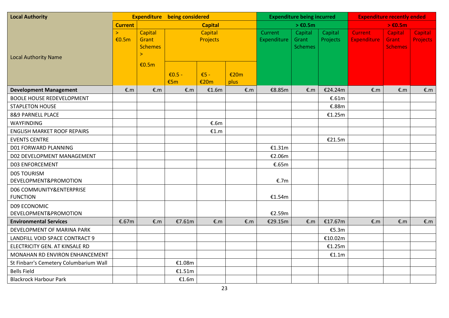| <b>Local Authority</b>                      |                       |                                                    | <b>Expenditure</b> being considered |                     |              |                        | <b>Expenditure being incurred</b>  |                     |                                      | <b>Expenditure recently ended</b>  |                                   |
|---------------------------------------------|-----------------------|----------------------------------------------------|-------------------------------------|---------------------|--------------|------------------------|------------------------------------|---------------------|--------------------------------------|------------------------------------|-----------------------------------|
|                                             | <b>Current</b>        |                                                    |                                     | <b>Capital</b>      |              |                        | $> \text{\textsterling}0.5m$       |                     |                                      | $> \epsilon$ 0.5m                  |                                   |
| <b>Local Authority Name</b>                 | $\mathbf{r}$<br>€0.5m | Capital<br>Grant<br><b>Schemes</b><br>$\mathbf{I}$ |                                     | Capital<br>Projects |              | Current<br>Expenditure | Capital<br>Grant<br><b>Schemes</b> | Capital<br>Projects | <b>Current</b><br><b>Expenditure</b> | Capital<br>Grant<br><b>Schemes</b> | <b>Capital</b><br><b>Projects</b> |
|                                             |                       | €0.5m                                              | $E0.5 -$<br>€5m                     | $E5 -$<br>€20m      | €20m<br>plus |                        |                                    |                     |                                      |                                    |                                   |
| <b>Development Management</b>               | E.m                   | €.m                                                | E.m                                 | €1.6m               | E.m          | €8.85m                 | €.m                                | €24.24m             | €. $m$                               | €.m                                | €.m                               |
| <b>BOOLE HOUSE REDEVELOPMENT</b>            |                       |                                                    |                                     |                     |              |                        |                                    | €.61m               |                                      |                                    |                                   |
| <b>STAPLETON HOUSE</b>                      |                       |                                                    |                                     |                     |              |                        |                                    | €.88m               |                                      |                                    |                                   |
| 8&9 PARNELL PLACE                           |                       |                                                    |                                     |                     |              |                        |                                    | €1.25m              |                                      |                                    |                                   |
| <b>WAYFINDING</b>                           |                       |                                                    |                                     | €.6m                |              |                        |                                    |                     |                                      |                                    |                                   |
| <b>ENGLISH MARKET ROOF REPAIRS</b>          |                       |                                                    |                                     | €1.m                |              |                        |                                    |                     |                                      |                                    |                                   |
| <b>EVENTS CENTRE</b>                        |                       |                                                    |                                     |                     |              |                        |                                    | €21.5m              |                                      |                                    |                                   |
| D01 FORWARD PLANNING                        |                       |                                                    |                                     |                     |              | €1.31m                 |                                    |                     |                                      |                                    |                                   |
| D02 DEVELOPMENT MANAGEMENT                  |                       |                                                    |                                     |                     |              | €2.06m                 |                                    |                     |                                      |                                    |                                   |
| <b>D03 ENFORCEMENT</b>                      |                       |                                                    |                                     |                     |              | €.65m                  |                                    |                     |                                      |                                    |                                   |
| <b>D05 TOURISM</b><br>DEVELOPMENT&PROMOTION |                       |                                                    |                                     |                     |              | €.7m                   |                                    |                     |                                      |                                    |                                   |
| D06 COMMUNITY&ENTERPRISE<br><b>FUNCTION</b> |                       |                                                    |                                     |                     |              | €1.54m                 |                                    |                     |                                      |                                    |                                   |
| D09 ECONOMIC<br>DEVELOPMENT&PROMOTION       |                       |                                                    |                                     |                     |              | €2.59m                 |                                    |                     |                                      |                                    |                                   |
| <b>Environmental Services</b>               | €.67m                 | E.m                                                | €7.61m                              | E.m                 | E.m          | €29.15m                | E.m                                | €17.67m             | €. $m$                               | E.m                                | E.m                               |
| DEVELOPMENT OF MARINA PARK                  |                       |                                                    |                                     |                     |              |                        |                                    | €5.3m               |                                      |                                    |                                   |
| LANDFILL VOID SPACE CONTRACT 9              |                       |                                                    |                                     |                     |              |                        |                                    | €10.02m             |                                      |                                    |                                   |
| ELECTRICITY GEN. AT KINSALE RD              |                       |                                                    |                                     |                     |              |                        |                                    | €1.25m              |                                      |                                    |                                   |
| MONAHAN RD ENVIRON ENHANCEMENT              |                       |                                                    |                                     |                     |              |                        |                                    | €1.1m               |                                      |                                    |                                   |
| St Finbarr's Cemetery Columbarium Wall      |                       |                                                    | €1.08m                              |                     |              |                        |                                    |                     |                                      |                                    |                                   |
| <b>Bells Field</b>                          |                       |                                                    | €1.51m                              |                     |              |                        |                                    |                     |                                      |                                    |                                   |
| <b>Blackrock Harbour Park</b>               |                       |                                                    | €1.6m                               |                     |              |                        |                                    |                     |                                      |                                    |                                   |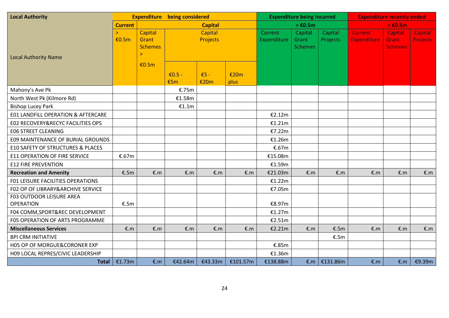| <b>Local Authority</b>                       |                 |                                                    | <b>Expenditure</b> being considered |                            | <b>Expenditure being incurred</b> |                        |                                    | <b>Expenditure recently ended</b> |                                      |                                    |                                   |
|----------------------------------------------|-----------------|----------------------------------------------------|-------------------------------------|----------------------------|-----------------------------------|------------------------|------------------------------------|-----------------------------------|--------------------------------------|------------------------------------|-----------------------------------|
|                                              | <b>Current</b>  |                                                    |                                     | <b>Capital</b>             |                                   |                        | $> \epsilon$ 0.5m                  |                                   |                                      | $> \epsilon$ 0.5m                  |                                   |
| <b>Local Authority Name</b>                  | $\geq$<br>€0.5m | Capital<br>Grant<br><b>Schemes</b><br>$\mathbf{I}$ |                                     | Capital<br><b>Projects</b> |                                   | Current<br>Expenditure | Capital<br>Grant<br><b>Schemes</b> | Capital<br>Projects               | <b>Current</b><br><b>Expenditure</b> | Capital<br>Grant<br><b>Schemes</b> | <b>Capital</b><br><b>Projects</b> |
|                                              |                 | €0.5m                                              | $E0.5 -$<br>€5m                     | $E5 -$<br>€20m             | €20m<br>plus                      |                        |                                    |                                   |                                      |                                    |                                   |
| Mahony's Ave Pk                              |                 |                                                    | €.75m                               |                            |                                   |                        |                                    |                                   |                                      |                                    |                                   |
| North West Pk (Kilmore Rd)                   |                 |                                                    | €1.58m                              |                            |                                   |                        |                                    |                                   |                                      |                                    |                                   |
| <b>Bishop Lucey Park</b>                     |                 |                                                    | €1.1m                               |                            |                                   |                        |                                    |                                   |                                      |                                    |                                   |
| E01 LANDFILL OPERATION & AFTERCARE           |                 |                                                    |                                     |                            |                                   | €2.12m                 |                                    |                                   |                                      |                                    |                                   |
| E02 RECOVERY&RECYC FACILITIES OPS            |                 |                                                    |                                     |                            |                                   | €1.21m                 |                                    |                                   |                                      |                                    |                                   |
| <b>EO6 STREET CLEANING</b>                   |                 |                                                    |                                     |                            |                                   | €7.22m                 |                                    |                                   |                                      |                                    |                                   |
| <b>E09 MAINTENANCE OF BURIAL GROUNDS</b>     |                 |                                                    |                                     |                            |                                   | €1.26m                 |                                    |                                   |                                      |                                    |                                   |
| E10 SAFETY OF STRUCTURES & PLACES            |                 |                                                    |                                     |                            |                                   | €.67m                  |                                    |                                   |                                      |                                    |                                   |
| <b>E11 OPERATION OF FIRE SERVICE</b>         | €.67m           |                                                    |                                     |                            |                                   | €15.08m                |                                    |                                   |                                      |                                    |                                   |
| <b>E12 FIRE PREVENTION</b>                   |                 |                                                    |                                     |                            |                                   | €1.59m                 |                                    |                                   |                                      |                                    |                                   |
| <b>Recreation and Amenity</b>                | €.5 $m$         | E.m                                                | E.m                                 | E.m                        | E.m                               | €21.03m                | E.m                                | E.m                               | E.m                                  | E.m                                | E.m                               |
| F01 LEISURE FACILITIES OPERATIONS            |                 |                                                    |                                     |                            |                                   | €1.22m                 |                                    |                                   |                                      |                                    |                                   |
| F02 OP OF LIBRARY&ARCHIVE SERVICE            |                 |                                                    |                                     |                            |                                   | €7.05m                 |                                    |                                   |                                      |                                    |                                   |
| F03 OUTDOOR LEISURE AREA<br><b>OPERATION</b> | €.5 $m$         |                                                    |                                     |                            |                                   | €8.97m                 |                                    |                                   |                                      |                                    |                                   |
| F04 COMM, SPORT&REC DEVELOPMENT              |                 |                                                    |                                     |                            |                                   | €1.27m                 |                                    |                                   |                                      |                                    |                                   |
| F05 OPERATION OF ARTS PROGRAMME              |                 |                                                    |                                     |                            |                                   | €2.51m                 |                                    |                                   |                                      |                                    |                                   |
| <b>Miscellaneous Services</b>                | E.m             | E.m                                                | €.m                                 | €.m                        | E.m                               | €2.21m                 | E.m                                | €.5 $m$                           | E.m                                  | E.m                                | E.m                               |
| <b>BPI CRM INITIATIVE</b>                    |                 |                                                    |                                     |                            |                                   |                        |                                    | €.5 $m$                           |                                      |                                    |                                   |
| H05 OP OF MORGUE&CORONER EXP                 |                 |                                                    |                                     |                            |                                   | €.85m                  |                                    |                                   |                                      |                                    |                                   |
| H09 LOCAL REPRES/CIVIC LEADERSHIP            |                 |                                                    |                                     |                            |                                   | €1.36m                 |                                    |                                   |                                      |                                    |                                   |
| Total                                        | €1.73m          | E.m                                                | €42.64m                             | €43.33m                    | €101.57m                          | €138.88m               |                                    | €.m   €131.86m                    | E.m                                  | $\epsilon$ .m                      | €9.39m                            |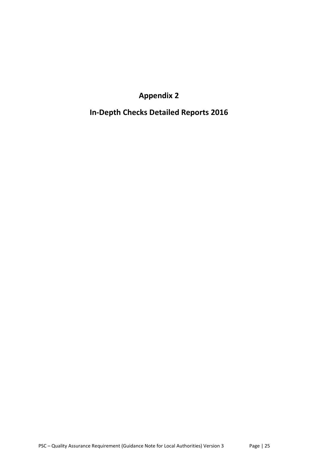**Appendix 2**

**In-Depth Checks Detailed Reports 2016**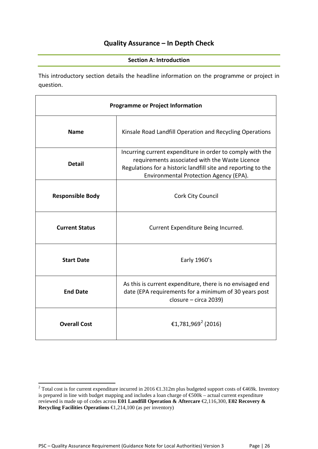## **Quality Assurance – In Depth Check**

#### **Section A: Introduction**

This introductory section details the headline information on the programme or project in question.

| <b>Programme or Project Information</b> |                                                                                                                                                                                                                        |  |  |  |  |
|-----------------------------------------|------------------------------------------------------------------------------------------------------------------------------------------------------------------------------------------------------------------------|--|--|--|--|
| <b>Name</b>                             | Kinsale Road Landfill Operation and Recycling Operations                                                                                                                                                               |  |  |  |  |
| <b>Detail</b>                           | Incurring current expenditure in order to comply with the<br>requirements associated with the Waste Licence<br>Regulations for a historic landfill site and reporting to the<br>Environmental Protection Agency (EPA). |  |  |  |  |
| <b>Responsible Body</b>                 | Cork City Council                                                                                                                                                                                                      |  |  |  |  |
| <b>Current Status</b>                   | Current Expenditure Being Incurred.                                                                                                                                                                                    |  |  |  |  |
| <b>Start Date</b>                       | Early 1960's                                                                                                                                                                                                           |  |  |  |  |
| <b>End Date</b>                         | As this is current expenditure, there is no envisaged end<br>date (EPA requirements for a minimum of 30 years post<br>closure - circa 2039)                                                                            |  |  |  |  |
| <b>Overall Cost</b>                     | €1,781,969 <sup>2</sup> (2016)                                                                                                                                                                                         |  |  |  |  |

<span id="page-25-0"></span><sup>&</sup>lt;sup>2</sup> Total cost is for current expenditure incurred in 2016  $\bigoplus$ .312m plus budgeted support costs of  $\bigoplus$ 469k. Inventory is prepared in line with budget mapping and includes a loan charge of €500k – actual current expenditure reviewed is made up of codes across **E01 Landfill Operation & Aftercare** €2,116,300, **E02 Recovery & Recycling Facilities Operations** €1,214,100 (as per inventory)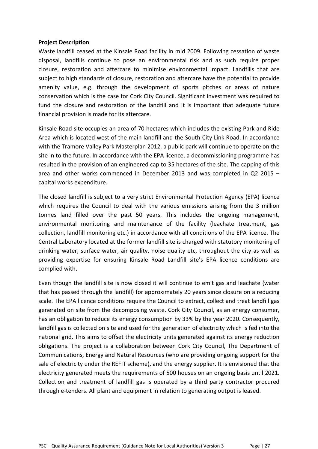#### **Project Description**

Waste landfill ceased at the Kinsale Road facility in mid 2009. Following cessation of waste disposal, landfills continue to pose an environmental risk and as such require proper closure, restoration and aftercare to minimise environmental impact. Landfills that are subject to high standards of closure, restoration and aftercare have the potential to provide amenity value, e.g. through the development of sports pitches or areas of nature conservation which is the case for Cork City Council. Significant investment was required to fund the closure and restoration of the landfill and it is important that adequate future financial provision is made for its aftercare.

Kinsale Road site occupies an area of 70 hectares which includes the existing Park and Ride Area which is located west of the main landfill and the South City Link Road. In accordance with the Tramore Valley Park Masterplan 2012, a public park will continue to operate on the site in to the future. In accordance with the EPA licence, a decommissioning programme has resulted in the provision of an engineered cap to 35 hectares of the site. The capping of this area and other works commenced in December 2013 and was completed in Q2 2015 – capital works expenditure.

The closed landfill is subject to a very strict Environmental Protection Agency (EPA) licence which requires the Council to deal with the various emissions arising from the 3 million tonnes land filled over the past 50 years. This includes the ongoing management, environmental monitoring and maintenance of the facility (leachate treatment, gas collection, landfill monitoring etc.) in accordance with all conditions of the EPA licence. The Central Laboratory located at the former landfill site is charged with statutory monitoring of drinking water, surface water, air quality, noise quality etc, throughout the city as well as providing expertise for ensuring Kinsale Road Landfill site's EPA licence conditions are complied with.

Even though the landfill site is now closed it will continue to emit gas and leachate (water that has passed through the landfill) for approximately 20 years since closure on a reducing scale. The EPA licence conditions require the Council to extract, collect and treat landfill gas generated on site from the decomposing waste. Cork City Council, as an energy consumer, has an obligation to reduce its energy consumption by 33% by the year 2020. Consequently, landfill gas is collected on site and used for the generation of electricity which is fed into the national grid. This aims to offset the electricity units generated against its energy reduction obligations. The project is a collaboration between Cork City Council, The Department of Communications, Energy and Natural Resources (who are providing ongoing support for the sale of electricity under the REFIT scheme), and the energy supplier. It is envisioned that the electricity generated meets the requirements of 500 houses on an ongoing basis until 2021. Collection and treatment of landfill gas is operated by a third party contractor procured through e-tenders. All plant and equipment in relation to generating output is leased.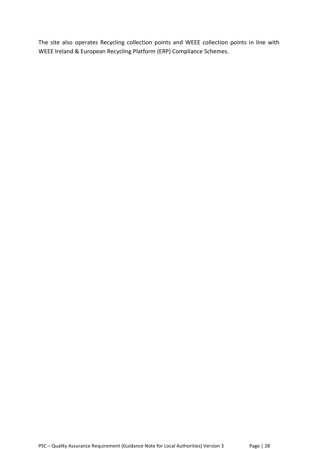The site also operates Recycling collection points and WEEE collection points in line with WEEE Ireland & European Recycling Platform (ERP) Compliance Schemes.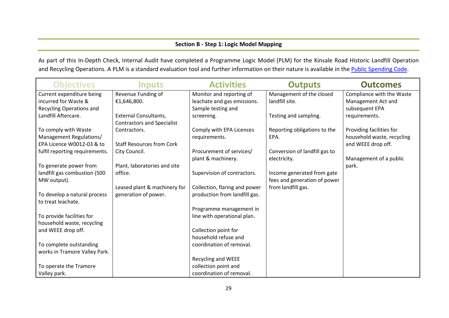#### **Section B - Step 1: Logic Model Mapping**

As part of this In-Depth Check, Internal Audit have completed a Programme Logic Model (PLM) for the Kinsale Road Historic Landfill Operation and Recycling Operations. A PLM is a standard evaluation tool and further information on their nature is available in the [Public Spending Code.](http://publicspendingcode.per.gov.ie/)

| <b>Objectives</b>              | <b>Inputs</b>                     | <b>Activities</b>             | <b>Outputs</b>                | <b>Outcomes</b>            |
|--------------------------------|-----------------------------------|-------------------------------|-------------------------------|----------------------------|
| Current expenditure being      | Revenue Funding of                | Monitor and reporting of      | Management of the closed      | Compliance with the Waste  |
| incurred for Waste &           | €1,646,800.                       | leachate and gas emissions.   | landfill site.                | Management Act and         |
| Recycling Operations and       |                                   | Sample testing and            |                               | subsequent EPA             |
| Landfill Aftercare.            | <b>External Consultants,</b>      | screening.                    | Testing and sampling.         | requirements.              |
|                                | <b>Contractors and Specialist</b> |                               |                               |                            |
| To comply with Waste           | Contractors.                      | Comply with EPA Licences      | Reporting obligations to the  | Providing facilities for   |
| Management Regulations/        |                                   | requirements.                 | EPA.                          | household waste, recycling |
| EPA Licence W0012-03 & to      | <b>Staff Resources from Cork</b>  |                               |                               | and WEEE drop off.         |
| fulfil reporting requirements. | City Council.                     | Procurement of services/      | Conversion of landfill gas to |                            |
|                                |                                   | plant & machinery.            | electricity.                  | Management of a public     |
| To generate power from         | Plant, laboratories and site      |                               |                               | park.                      |
| landfill gas combustion (500   | office.                           | Supervision of contractors.   | Income generated from gate    |                            |
| MW output).                    |                                   |                               | fees and generation of power  |                            |
|                                | Leased plant & machinery for      | Collection, flaring and power | from landfill gas.            |                            |
| To develop a natural process   | generation of power.              | production from landfill gas. |                               |                            |
| to treat leachate.             |                                   |                               |                               |                            |
|                                |                                   | Programme management in       |                               |                            |
| To provide facilities for      |                                   | line with operational plan.   |                               |                            |
| household waste, recycling     |                                   |                               |                               |                            |
| and WEEE drop off.             |                                   | Collection point for          |                               |                            |
|                                |                                   | household refuse and          |                               |                            |
| To complete outstanding        |                                   | coordination of removal.      |                               |                            |
| works in Tramore Valley Park.  |                                   |                               |                               |                            |
|                                |                                   | <b>Recycling and WEEE</b>     |                               |                            |
| To operate the Tramore         |                                   | collection point and          |                               |                            |
| Valley park.                   |                                   | coordination of removal.      |                               |                            |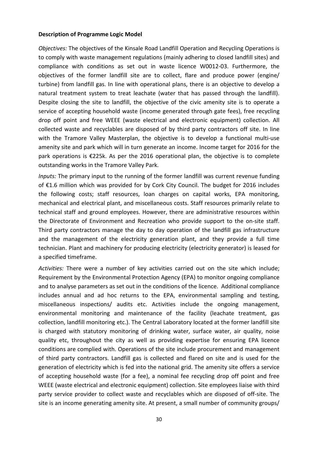#### **Description of Programme Logic Model**

*Objectives:* The objectives of the Kinsale Road Landfill Operation and Recycling Operations is to comply with waste management regulations (mainly adhering to closed landfill sites) and compliance with conditions as set out in waste licence W0012-03. Furthermore, the objectives of the former landfill site are to collect, flare and produce power (engine/ turbine) from landfill gas. In line with operational plans, there is an objective to develop a natural treatment system to treat leachate (water that has passed through the landfill). Despite closing the site to landfill, the objective of the civic amenity site is to operate a service of accepting household waste (income generated through gate fees), free recycling drop off point and free WEEE (waste electrical and electronic equipment) collection. All collected waste and recyclables are disposed of by third party contractors off site. In line with the Tramore Valley Masterplan, the objective is to develop a functional multi-use amenity site and park which will in turn generate an income. Income target for 2016 for the park operations is €225k. As per the 2016 operational plan, the objective is to complete outstanding works in the Tramore Valley Park.

*Inputs:* The primary input to the running of the former landfill was current revenue funding of €1.6 million which was provided for by Cork City Council. The budget for 2016 includes the following costs; staff resources, loan charges on capital works, EPA monitoring, mechanical and electrical plant, and miscellaneous costs. Staff resources primarily relate to technical staff and ground employees. However, there are administrative resources within the Directorate of Environment and Recreation who provide support to the on-site staff. Third party contractors manage the day to day operation of the landfill gas infrastructure and the management of the electricity generation plant, and they provide a full time technician. Plant and machinery for producing electricity (electricity generator) is leased for a specified timeframe.

*Activities:* There were a number of key activities carried out on the site which include; Requirement by the Environmental Protection Agency (EPA) to monitor ongoing compliance and to analyse parameters as set out in the conditions of the licence. Additional compliance includes annual and ad hoc returns to the EPA, environmental sampling and testing, miscellaneous inspections/ audits etc. Activities include the ongoing management, environmental monitoring and maintenance of the facility (leachate treatment, gas collection, landfill monitoring etc.). The Central Laboratory located at the former landfill site is charged with statutory monitoring of drinking water, surface water, air quality, noise quality etc, throughout the city as well as providing expertise for ensuring EPA licence conditions are complied with. Operations of the site include procurement and management of third party contractors. Landfill gas is collected and flared on site and is used for the generation of electricity which is fed into the national grid. The amenity site offers a service of accepting household waste (for a fee), a nominal fee recycling drop off point and free WEEE (waste electrical and electronic equipment) collection. Site employees liaise with third party service provider to collect waste and recyclables which are disposed of off-site. The site is an income generating amenity site. At present, a small number of community groups/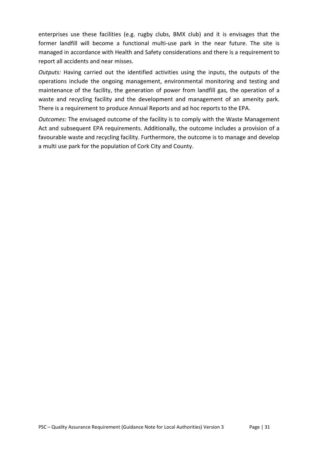enterprises use these facilities (e.g. rugby clubs, BMX club) and it is envisages that the former landfill will become a functional multi-use park in the near future. The site is managed in accordance with Health and Safety considerations and there is a requirement to report all accidents and near misses.

*Outputs:* Having carried out the identified activities using the inputs, the outputs of the operations include the ongoing management, environmental monitoring and testing and maintenance of the facility, the generation of power from landfill gas, the operation of a waste and recycling facility and the development and management of an amenity park. There is a requirement to produce Annual Reports and ad hoc reports to the EPA.

*Outcomes:* The envisaged outcome of the facility is to comply with the Waste Management Act and subsequent EPA requirements. Additionally, the outcome includes a provision of a favourable waste and recycling facility. Furthermore, the outcome is to manage and develop a multi use park for the population of Cork City and County.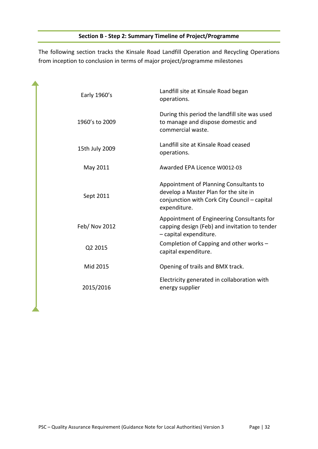The following section tracks the Kinsale Road Landfill Operation and Recycling Operations from inception to conclusion in terms of major project/programme milestones

| Early 1960's   | Landfill site at Kinsale Road began<br>operations.                                                                                              |
|----------------|-------------------------------------------------------------------------------------------------------------------------------------------------|
| 1960's to 2009 | During this period the landfill site was used<br>to manage and dispose domestic and<br>commercial waste.                                        |
| 15th July 2009 | Landfill site at Kinsale Road ceased<br>operations.                                                                                             |
| May 2011       | Awarded EPA Licence W0012-03                                                                                                                    |
| Sept 2011      | Appointment of Planning Consultants to<br>develop a Master Plan for the site in<br>conjunction with Cork City Council - capital<br>expenditure. |
| Feb/ Nov 2012  | Appointment of Engineering Consultants for<br>capping design (Feb) and invitation to tender<br>- capital expenditure.                           |
| Q2 2015        | Completion of Capping and other works -<br>capital expenditure.                                                                                 |
| Mid 2015       | Opening of trails and BMX track.                                                                                                                |
| 2015/2016      | Electricity generated in collaboration with<br>energy supplier                                                                                  |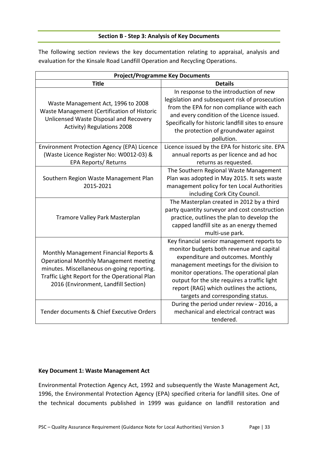#### **Section B - Step 3: Analysis of Key Documents**

The following section reviews the key documentation relating to appraisal, analysis and evaluation for the Kinsale Road Landfill Operation and Recycling Operations.

| <b>Project/Programme Key Documents</b>                                                                                                                                                                                         |                                                                                                                                                                                                                                                                                                                                                     |  |  |  |  |  |
|--------------------------------------------------------------------------------------------------------------------------------------------------------------------------------------------------------------------------------|-----------------------------------------------------------------------------------------------------------------------------------------------------------------------------------------------------------------------------------------------------------------------------------------------------------------------------------------------------|--|--|--|--|--|
| <b>Title</b>                                                                                                                                                                                                                   | <b>Details</b>                                                                                                                                                                                                                                                                                                                                      |  |  |  |  |  |
| Waste Management Act, 1996 to 2008<br>Waste Management (Certification of Historic<br>Unlicensed Waste Disposal and Recovery<br>Activity) Regulations 2008                                                                      | In response to the introduction of new<br>legislation and subsequent risk of prosecution<br>from the EPA for non compliance with each<br>and every condition of the Licence issued.<br>Specifically for historic landfill sites to ensure<br>the protection of groundwater against<br>pollution.                                                    |  |  |  |  |  |
| <b>Environment Protection Agency (EPA) Licence</b><br>(Waste Licence Register No: W0012-03) &<br><b>EPA Reports/ Returns</b>                                                                                                   | Licence issued by the EPA for historic site. EPA<br>annual reports as per licence and ad hoc<br>returns as requested.                                                                                                                                                                                                                               |  |  |  |  |  |
| Southern Region Waste Management Plan<br>2015-2021                                                                                                                                                                             | The Southern Regional Waste Management<br>Plan was adopted in May 2015. It sets waste<br>management policy for ten Local Authorities<br>including Cork City Council.                                                                                                                                                                                |  |  |  |  |  |
| Tramore Valley Park Masterplan                                                                                                                                                                                                 | The Masterplan created in 2012 by a third<br>party quantity surveyor and cost construction<br>practice, outlines the plan to develop the<br>capped landfill site as an energy themed<br>multi-use park.                                                                                                                                             |  |  |  |  |  |
| Monthly Management Financial Reports &<br><b>Operational Monthly Management meeting</b><br>minutes. Miscellaneous on-going reporting.<br>Traffic Light Report for the Operational Plan<br>2016 (Environment, Landfill Section) | Key financial senior management reports to<br>monitor budgets both revenue and capital<br>expenditure and outcomes. Monthly<br>management meetings for the division to<br>monitor operations. The operational plan<br>output for the site requires a traffic light<br>report (RAG) which outlines the actions,<br>targets and corresponding status. |  |  |  |  |  |
| Tender documents & Chief Executive Orders                                                                                                                                                                                      | During the period under review - 2016, a<br>mechanical and electrical contract was<br>tendered.                                                                                                                                                                                                                                                     |  |  |  |  |  |

#### **Key Document 1: Waste Management Act**

Environmental Protection Agency Act, 1992 and subsequently the Waste Management Act, 1996, the Environmental Protection Agency (EPA) specified criteria for landfill sites. One of the technical documents published in 1999 was guidance on landfill restoration and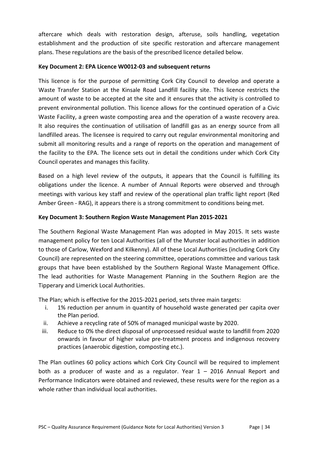aftercare which deals with restoration design, afteruse, soils handling, vegetation establishment and the production of site specific restoration and aftercare management plans. These regulations are the basis of the prescribed licence detailed below.

#### **Key Document 2: EPA Licence W0012-03 and subsequent returns**

This licence is for the purpose of permitting Cork City Council to develop and operate a Waste Transfer Station at the Kinsale Road Landfill facility site. This licence restricts the amount of waste to be accepted at the site and it ensures that the activity is controlled to prevent environmental pollution. This licence allows for the continued operation of a Civic Waste Facility, a green waste composting area and the operation of a waste recovery area. It also requires the continuation of utilisation of landfill gas as an energy source from all landfilled areas. The licensee is required to carry out regular environmental monitoring and submit all monitoring results and a range of reports on the operation and management of the facility to the EPA. The licence sets out in detail the conditions under which Cork City Council operates and manages this facility.

Based on a high level review of the outputs, it appears that the Council is fulfilling its obligations under the licence. A number of Annual Reports were observed and through meetings with various key staff and review of the operational plan traffic light report (Red Amber Green - RAG), it appears there is a strong commitment to conditions being met.

#### **Key Document 3: Southern Region Waste Management Plan 2015-2021**

The Southern Regional Waste Management Plan was adopted in May 2015. It sets waste management policy for ten Local Authorities (all of the Munster local authorities in addition to those of Carlow, Wexford and Kilkenny). All of these Local Authorities (including Cork City Council) are represented on the steering committee, operations committee and various task groups that have been established by the Southern Regional Waste Management Office. The lead authorities for Waste Management Planning in the Southern Region are the Tipperary and Limerick Local Authorities.

The Plan; which is effective for the 2015-2021 period, sets three main targets:

- i. 1% reduction per annum in quantity of household waste generated per capita over the Plan period.
- ii. Achieve a recycling rate of 50% of managed municipal waste by 2020.
- iii. Reduce to 0% the direct disposal of unprocessed residual waste to landfill from 2020 onwards in favour of higher value pre-treatment process and indigenous recovery practices (anaerobic digestion, composting etc.).

The Plan outlines 60 policy actions which Cork City Council will be required to implement both as a producer of waste and as a regulator. Year  $1 - 2016$  Annual Report and Performance Indicators were obtained and reviewed, these results were for the region as a whole rather than individual local authorities.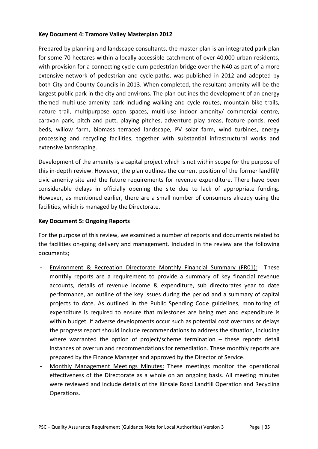#### **Key Document 4: Tramore Valley Masterplan 2012**

Prepared by planning and landscape consultants, the master plan is an integrated park plan for some 70 hectares within a locally accessible catchment of over 40,000 urban residents, with provision for a connecting cycle-cum-pedestrian bridge over the N40 as part of a more extensive network of pedestrian and cycle-paths, was published in 2012 and adopted by both City and County Councils in 2013. When completed, the resultant amenity will be the largest public park in the city and environs. The plan outlines the development of an energy themed multi-use amenity park including walking and cycle routes, mountain bike trails, nature trail, multipurpose open spaces, multi-use indoor amenity/ commercial centre, caravan park, pitch and putt, playing pitches, adventure play areas, feature ponds, reed beds, willow farm, biomass terraced landscape, PV solar farm, wind turbines, energy processing and recycling facilities, together with substantial infrastructural works and extensive landscaping.

Development of the amenity is a capital project which is not within scope for the purpose of this in-depth review. However, the plan outlines the current position of the former landfill/ civic amenity site and the future requirements for revenue expenditure. There have been considerable delays in officially opening the site due to lack of appropriate funding. However, as mentioned earlier, there are a small number of consumers already using the facilities, which is managed by the Directorate.

#### **Key Document 5: Ongoing Reports**

For the purpose of this review, we examined a number of reports and documents related to the facilities on-going delivery and management. Included in the review are the following documents;

- **-** Environment & Recreation Directorate Monthly Financial Summary (FR01): These monthly reports are a requirement to provide a summary of key financial revenue accounts, details of revenue income & expenditure, sub directorates year to date performance, an outline of the key issues during the period and a summary of capital projects to date. As outlined in the Public Spending Code guidelines, monitoring of expenditure is required to ensure that milestones are being met and expenditure is within budget. If adverse developments occur such as potential cost overruns or delays the progress report should include recommendations to address the situation, including where warranted the option of project/scheme termination – these reports detail instances of overrun and recommendations for remediation. These monthly reports are prepared by the Finance Manager and approved by the Director of Service.
- **-** Monthly Management Meetings Minutes: These meetings monitor the operational effectiveness of the Directorate as a whole on an ongoing basis. All meeting minutes were reviewed and include details of the Kinsale Road Landfill Operation and Recycling Operations.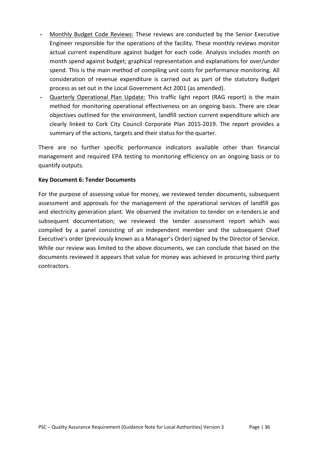- **-** Monthly Budget Code Reviews: These reviews are conducted by the Senior Executive Engineer responsible for the operations of the facility. These monthly reviews monitor actual current expenditure against budget for each code. Analysis includes month on month spend against budget; graphical representation and explanations for over/under spend. This is the main method of compiling unit costs for performance monitoring. All consideration of revenue expenditure is carried out as part of the statutory Budget process as set out in the Local Government Act 2001 (as amended).
- **-** Quarterly Operational Plan Update: This traffic light report (RAG report) is the main method for monitoring operational effectiveness on an ongoing basis. There are clear objectives outlined for the environment, landfill section current expenditure which are clearly linked to Cork City Council Corporate Plan 2015-2019. The report provides a summary of the actions, targets and their status for the quarter.

There are no further specific performance indicators available other than financial management and required EPA testing to monitoring efficiency on an ongoing basis or to quantify outputs.

#### **Key Document 6: Tender Documents**

For the purpose of assessing value for money, we reviewed tender documents, subsequent assessment and approvals for the management of the operational services of landfill gas and electricity generation plant. We observed the invitation to tender on e-tenders.ie and subsequent documentation; we reviewed the tender assessment report which was compiled by a panel consisting of an independent member and the subsequent Chief Executive's order (previously known as a Manager's Order) signed by the Director of Service. While our review was limited to the above documents, we can conclude that based on the documents reviewed it appears that value for money was achieved in procuring third party contractors.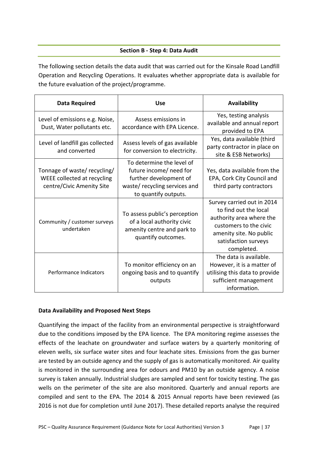#### **Section B - Step 4: Data Audit**

The following section details the data audit that was carried out for the Kinsale Road Landfill Operation and Recycling Operations. It evaluates whether appropriate data is available for the future evaluation of the project/programme.

| <b>Data Required</b>                                                                     | <b>Use</b>                                                                                                                             | <b>Availability</b>                                                                                                                                                        |
|------------------------------------------------------------------------------------------|----------------------------------------------------------------------------------------------------------------------------------------|----------------------------------------------------------------------------------------------------------------------------------------------------------------------------|
| Level of emissions e.g. Noise,<br>Dust, Water pollutants etc.                            | Assess emissions in<br>accordance with EPA Licence.                                                                                    | Yes, testing analysis<br>available and annual report<br>provided to EPA                                                                                                    |
| Level of landfill gas collected<br>and converted                                         | Assess levels of gas available<br>for conversion to electricity.                                                                       | Yes, data available (third<br>party contractor in place on<br>site & ESB Networks)                                                                                         |
| Tonnage of waste/ recycling/<br>WEEE collected at recycling<br>centre/Civic Amenity Site | To determine the level of<br>future income/ need for<br>further development of<br>waste/recycling services and<br>to quantify outputs. | Yes, data available from the<br>EPA, Cork City Council and<br>third party contractors                                                                                      |
| Community / customer surveys<br>undertaken                                               | To assess public's perception<br>of a local authority civic<br>amenity centre and park to<br>quantify outcomes.                        | Survey carried out in 2014<br>to find out the local<br>authority area where the<br>customers to the civic<br>amenity site. No public<br>satisfaction surveys<br>completed. |
| Performance Indicators                                                                   | To monitor efficiency on an<br>ongoing basis and to quantify<br>outputs                                                                | The data is available.<br>However, it is a matter of<br>utilising this data to provide<br>sufficient management<br>information.                                            |

#### **Data Availability and Proposed Next Steps**

Quantifying the impact of the facility from an environmental perspective is straightforward due to the conditions imposed by the EPA licence. The EPA monitoring regime assesses the effects of the leachate on groundwater and surface waters by a quarterly monitoring of eleven wells, six surface water sites and four leachate sites. Emissions from the gas burner are tested by an outside agency and the supply of gas is automatically monitored. Air quality is monitored in the surrounding area for odours and PM10 by an outside agency. A noise survey is taken annually. Industrial sludges are sampled and sent for toxicity testing. The gas wells on the perimeter of the site are also monitored. Quarterly and annual reports are compiled and sent to the EPA. The 2014 & 2015 Annual reports have been reviewed (as 2016 is not due for completion until June 2017). These detailed reports analyse the required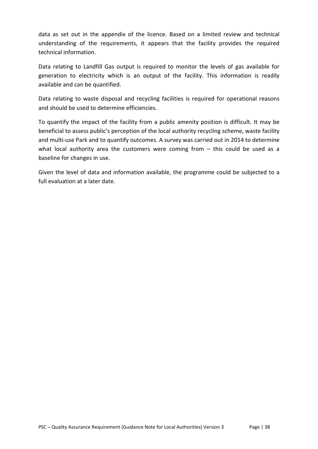data as set out in the appendix of the licence. Based on a limited review and technical understanding of the requirements, it appears that the facility provides the required technical information.

Data relating to Landfill Gas output is required to monitor the levels of gas available for generation to electricity which is an output of the facility. This information is readily available and can be quantified.

Data relating to waste disposal and recycling facilities is required for operational reasons and should be used to determine efficiencies.

To quantify the impact of the facility from a public amenity position is difficult. It may be beneficial to assess public's perception of the local authority recycling scheme, waste facility and multi-use Park and to quantify outcomes. A survey was carried out in 2014 to determine what local authority area the customers were coming from - this could be used as a baseline for changes in use.

Given the level of data and information available, the programme could be subjected to a full evaluation at a later date.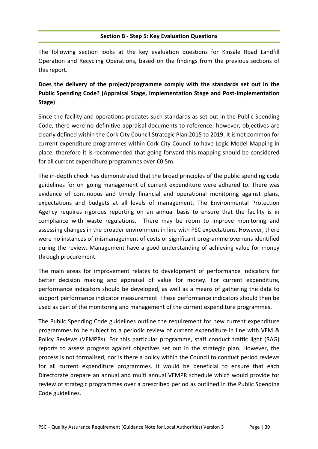#### **Section B - Step 5: Key Evaluation Questions**

The following section looks at the key evaluation questions for Kinsale Road Landfill Operation and Recycling Operations, based on the findings from the previous sections of this report.

## **Does the delivery of the project/programme comply with the standards set out in the Public Spending Code? (Appraisal Stage, Implementation Stage and Post-Implementation Stage)**

Since the facility and operations predates such standards as set out in the Public Spending Code, there were no definitive appraisal documents to reference; however, objectives are clearly defined within the Cork City Council Strategic Plan 2015 to 2019. It is not common for current expenditure programmes within Cork City Council to have Logic Model Mapping in place, therefore it is recommended that going forward this mapping should be considered for all current expenditure programmes over €0.5m.

The in-depth check has demonstrated that the broad principles of the public spending code guidelines for on–going management of current expenditure were adhered to. There was evidence of continuous and timely financial and operational monitoring against plans, expectations and budgets at all levels of management. The Environmental Protection Agency requires rigorous reporting on an annual basis to ensure that the facility is in compliance with waste regulations. There may be room to improve monitoring and assessing changes in the broader environment in line with PSC expectations. However, there were no instances of mismanagement of costs or significant programme overruns identified during the review. Management have a good understanding of achieving value for money through procurement.

The main areas for improvement relates to development of performance indicators for better decision making and appraisal of value for money. For current expenditure, performance indicators should be developed, as well as a means of gathering the data to support performance indicator measurement. These performance indicators should then be used as part of the monitoring and management of the current expenditure programmes.

The Public Spending Code guidelines outline the requirement for new current expenditure programmes to be subject to a periodic review of current expenditure in line with VFM & Policy Reviews (VFMPRs). For this particular programme, staff conduct traffic light (RAG) reports to assess progress against objectives set out in the strategic plan. However, the process is not formalised, nor is there a policy within the Council to conduct period reviews for all current expenditure programmes. It would be beneficial to ensure that each Directorate prepare an annual and multi annual VFMPR schedule which would provide for review of strategic programmes over a prescribed period as outlined in the Public Spending Code guidelines.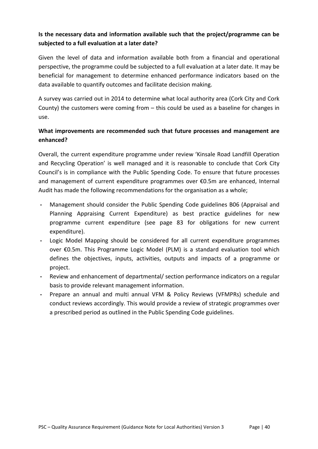## **Is the necessary data and information available such that the project/programme can be subjected to a full evaluation at a later date?**

Given the level of data and information available both from a financial and operational perspective, the programme could be subjected to a full evaluation at a later date. It may be beneficial for management to determine enhanced performance indicators based on the data available to quantify outcomes and facilitate decision making.

A survey was carried out in 2014 to determine what local authority area (Cork City and Cork County) the customers were coming from – this could be used as a baseline for changes in use.

## **What improvements are recommended such that future processes and management are enhanced?**

Overall, the current expenditure programme under review 'Kinsale Road Landfill Operation and Recycling Operation' is well managed and it is reasonable to conclude that Cork City Council's is in compliance with the Public Spending Code. To ensure that future processes and management of current expenditure programmes over €0.5m are enhanced, Internal Audit has made the following recommendations for the organisation as a whole;

- **-** Management should consider the Public Spending Code guidelines B06 (Appraisal and Planning Appraising Current Expenditure) as best practice guidelines for new programme current expenditure (see page 83 for obligations for new current expenditure).
- **-** Logic Model Mapping should be considered for all current expenditure programmes over €0.5m. This Programme Logic Model (PLM) is a standard evaluation tool which defines the objectives, inputs, activities, outputs and impacts of a programme or project.
- **-** Review and enhancement of departmental/ section performance indicators on a regular basis to provide relevant management information.
- **-** Prepare an annual and multi annual VFM & Policy Reviews (VFMPRs) schedule and conduct reviews accordingly. This would provide a review of strategic programmes over a prescribed period as outlined in the Public Spending Code guidelines.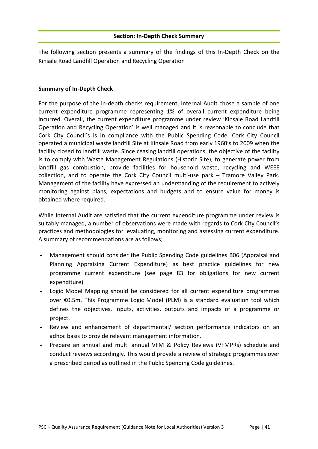The following section presents a summary of the findings of this In-Depth Check on the Kinsale Road Landfill Operation and Recycling Operation

#### **Summary of In-Depth Check**

For the purpose of the in-depth checks requirement, Internal Audit chose a sample of one current expenditure programme representing 1% of overall current expenditure being incurred. Overall, the current expenditure programme under review 'Kinsale Road Landfill Operation and Recycling Operation' is well managed and it is reasonable to conclude that Cork City Council's is in compliance with the Public Spending Code. Cork City Council operated a municipal waste landfill Site at Kinsale Road from early 1960's to 2009 when the facility closed to landfill waste. Since ceasing landfill operations, the objective of the facility is to comply with Waste Management Regulations (Historic Site), to generate power from landfill gas combustion, provide facilities for household waste, recycling and WEEE collection, and to operate the Cork City Council multi-use park – Tramore Valley Park. Management of the facility have expressed an understanding of the requirement to actively monitoring against plans, expectations and budgets and to ensure value for money is obtained where required.

While Internal Audit are satisfied that the current expenditure programme under review is suitably managed, a number of observations were made with regards to Cork City Council's practices and methodologies for evaluating, monitoring and assessing current expenditure. A summary of recommendations are as follows;

- **-** Management should consider the Public Spending Code guidelines B06 (Appraisal and Planning Appraising Current Expenditure) as best practice guidelines for new programme current expenditure (see page 83 for obligations for new current expenditure)
- **-** Logic Model Mapping should be considered for all current expenditure programmes over €0.5m. This Programme Logic Model (PLM) is a standard evaluation tool which defines the objectives, inputs, activities, outputs and impacts of a programme or project.
- **-** Review and enhancement of departmental/ section performance indicators on an adhoc basis to provide relevant management information.
- **-** Prepare an annual and multi annual VFM & Policy Reviews (VFMPRs) schedule and conduct reviews accordingly. This would provide a review of strategic programmes over a prescribed period as outlined in the Public Spending Code guidelines.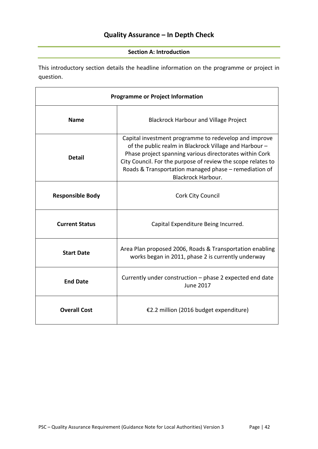## **Quality Assurance – In Depth Check**

#### **Section A: Introduction**

This introductory section details the headline information on the programme or project in question.

| <b>Programme or Project Information</b>                       |                                                                                                                                                                                                                                                                                                                                  |  |  |  |  |
|---------------------------------------------------------------|----------------------------------------------------------------------------------------------------------------------------------------------------------------------------------------------------------------------------------------------------------------------------------------------------------------------------------|--|--|--|--|
| <b>Name</b>                                                   | <b>Blackrock Harbour and Village Project</b>                                                                                                                                                                                                                                                                                     |  |  |  |  |
| <b>Detail</b>                                                 | Capital investment programme to redevelop and improve<br>of the public realm in Blackrock Village and Harbour -<br>Phase project spanning various directorates within Cork<br>City Council. For the purpose of review the scope relates to<br>Roads & Transportation managed phase - remediation of<br><b>Blackrock Harbour.</b> |  |  |  |  |
| <b>Responsible Body</b>                                       | Cork City Council                                                                                                                                                                                                                                                                                                                |  |  |  |  |
| <b>Current Status</b>                                         | Capital Expenditure Being Incurred.                                                                                                                                                                                                                                                                                              |  |  |  |  |
| <b>Start Date</b>                                             | Area Plan proposed 2006, Roads & Transportation enabling<br>works began in 2011, phase 2 is currently underway                                                                                                                                                                                                                   |  |  |  |  |
| <b>End Date</b>                                               | Currently under construction - phase 2 expected end date<br><b>June 2017</b>                                                                                                                                                                                                                                                     |  |  |  |  |
| <b>Overall Cost</b><br>€2.2 million (2016 budget expenditure) |                                                                                                                                                                                                                                                                                                                                  |  |  |  |  |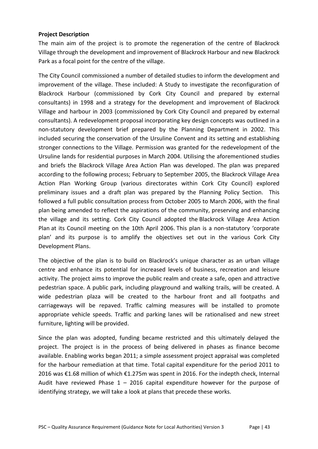#### **Project Description**

The main aim of the project is to promote the regeneration of the centre of Blackrock Village through the development and improvement of Blackrock Harbour and new Blackrock Park as a focal point for the centre of the village.

The City Council commissioned a number of detailed studies to inform the development and improvement of the village. These included: A Study to investigate the reconfiguration of Blackrock Harbour (commissioned by Cork City Council and prepared by external consultants) in 1998 and a strategy for the development and improvement of Blackrock Village and harbour in 2003 (commissioned by Cork City Council and prepared by external consultants). A redevelopment proposal incorporating key design concepts was outlined in a non-statutory development brief prepared by the Planning Department in 2002. This included securing the conservation of the Ursuline Convent and its setting and establishing stronger connections to the Village. Permission was granted for the redevelopment of the Ursuline lands for residential purposes in March 2004. Utilising the aforementioned studies and briefs the Blackrock Village Area Action Plan was developed. The plan was prepared according to the following process; February to September 2005, the Blackrock Village Area Action Plan Working Group (various directorates within Cork City Council) explored preliminary issues and a draft plan was prepared by the Planning Policy Section. This followed a full public consultation process from October 2005 to March 2006, with the final plan being amended to reflect the aspirations of the community, preserving and enhancing the village and its setting. Cork City Council adopted the Blackrock Village Area Action Plan at its Council meeting on the 10th April 2006. This plan is a non-statutory 'corporate plan' and its purpose is to amplify the objectives set out in the various Cork City Development Plans.

The objective of the plan is to build on Blackrock's unique character as an urban village centre and enhance its potential for increased levels of business, recreation and leisure activity. The project aims to improve the public realm and create a safe, open and attractive pedestrian space. A public park, including playground and walking trails, will be created. A wide pedestrian plaza will be created to the harbour front and all footpaths and carriageways will be repaved. Traffic calming measures will be installed to promote appropriate vehicle speeds. Traffic and parking lanes will be rationalised and new street furniture, lighting will be provided.

Since the plan was adopted, funding became restricted and this ultimately delayed the project. The project is in the process of being delivered in phases as finance become available. Enabling works began 2011; a simple assessment project appraisal was completed for the harbour remediation at that time. Total capital expenditure for the period 2011 to 2016 was €1.68 million of which €1.275m was spent in 2016. For the indepth check, Internal Audit have reviewed Phase  $1 - 2016$  capital expenditure however for the purpose of identifying strategy, we will take a look at plans that precede these works.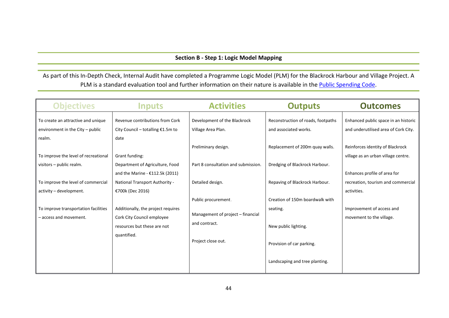#### **Section B - Step 1: Logic Model Mapping**

As part of this In-Depth Check, Internal Audit have completed a Programme Logic Model (PLM) for the Blackrock Harbour and Village Project. A PLM is a standard evaluation tool and further information on their nature is available in the **Public Spending Code**.

| <b>Objectives</b>                                                        | Inputs                                                                 | <b>Activities</b>                                        | <b>Outputs</b>                                              | <b>Outcomes</b>                                                              |
|--------------------------------------------------------------------------|------------------------------------------------------------------------|----------------------------------------------------------|-------------------------------------------------------------|------------------------------------------------------------------------------|
| To create an attractive and unique<br>environment in the City $-$ public | Revenue contributions from Cork<br>City Council – totalling $£1.5m$ to | Development of the Blackrock<br>Village Area Plan.       | Reconstruction of roads, footpaths<br>and associated works. | Enhanced public space in an historic<br>and underutilised area of Cork City. |
| realm.<br>To improve the level of recreational                           | date<br>Grant funding:                                                 | Preliminary design.                                      | Replacement of 200m quay walls.                             | Reinforces identity of Blackrock<br>village as an urban village centre.      |
| visitors - public realm.                                                 | Department of Agriculture, Food<br>and the Marine - $£112.5k$ (2011)   | Part 8 consultation and submission.                      | Dredging of Blackrock Harbour.                              | Enhances profile of area for                                                 |
| To improve the level of commercial<br>activity - development.            | National Transport Authority -<br>€700k (Dec 2016)                     | Detailed design.                                         | Repaving of Blackrock Harbour.                              | recreation, tourism and commercial<br>activities.                            |
| To improve transportation facilities<br>- access and movement.           | Additionally, the project requires<br>Cork City Council employee       | Public procurement.<br>Management of project – financial | Creation of 150m boardwalk with<br>seating.                 | Improvement of access and<br>movement to the village.                        |
|                                                                          | resources but these are not<br>quantified.                             | and contract.                                            | New public lighting.                                        |                                                                              |
|                                                                          |                                                                        | Project close out.                                       | Provision of car parking.                                   |                                                                              |
|                                                                          |                                                                        |                                                          | Landscaping and tree planting.                              |                                                                              |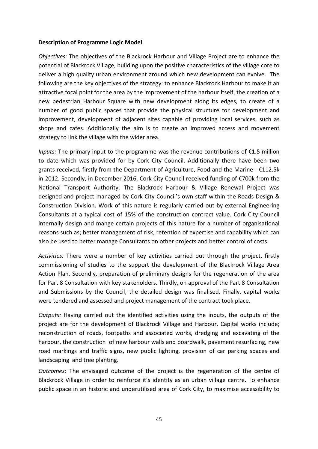#### **Description of Programme Logic Model**

*Objectives:* The objectives of the Blackrock Harbour and Village Project are to enhance the potential of Blackrock Village, building upon the positive characteristics of the village core to deliver a high quality urban environment around which new development can evolve. The following are the key objectives of the strategy: to enhance Blackrock Harbour to make it an attractive focal point for the area by the improvement of the harbour itself, the creation of a new pedestrian Harbour Square with new development along its edges, to create of a number of good public spaces that provide the physical structure for development and improvement, development of adjacent sites capable of providing local services, such as shops and cafes. Additionally the aim is to create an improved access and movement strategy to link the village with the wider area.

*Inputs:* The primary input to the programme was the revenue contributions of €1.5 million to date which was provided for by Cork City Council. Additionally there have been two grants received, firstly from the Department of Agriculture, Food and the Marine - €112.5k in 2012. Secondly, in December 2016, Cork City Council received funding of €700k from the National Transport Authority. The Blackrock Harbour & Village Renewal Project was designed and project managed by Cork City Council's own staff within the Roads Design & Construction Division. Work of this nature is regularly carried out by external Engineering Consultants at a typical cost of 15% of the construction contract value. Cork City Council internally design and mange certain projects of this nature for a number of organisational reasons such as; better management of risk, retention of expertise and capability which can also be used to better manage Consultants on other projects and better control of costs.

*Activities:* There were a number of key activities carried out through the project, firstly commissioning of studies to the support the development of the Blackrock Village Area Action Plan. Secondly, preparation of preliminary designs for the regeneration of the area for Part 8 Consultation with key stakeholders. Thirdly, on approval of the Part 8 Consultation and Submissions by the Council, the detailed design was finalised. Finally, capital works were tendered and assessed and project management of the contract took place.

*Outputs:* Having carried out the identified activities using the inputs, the outputs of the project are for the development of Blackrock Village and Harbour. Capital works include; reconstruction of roads, footpaths and associated works, dredging and excavating of the harbour, the construction of new harbour walls and boardwalk, pavement resurfacing, new road markings and traffic signs, new public lighting, provision of car parking spaces and landscaping and tree planting.

*Outcomes:* The envisaged outcome of the project is the regeneration of the centre of Blackrock Village in order to reinforce it's identity as an urban village centre. To enhance public space in an historic and underutilised area of Cork City, to maximise accessibility to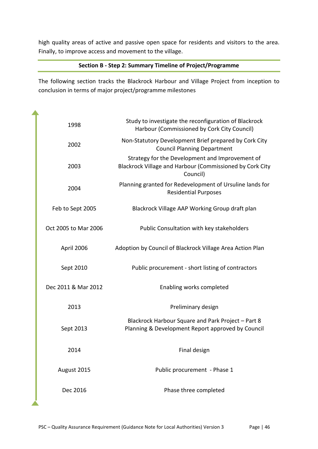high quality areas of active and passive open space for residents and visitors to the area. Finally, to improve access and movement to the village.

#### **Section B - Step 2: Summary Timeline of Project/Programme**

The following section tracks the Blackrock Harbour and Village Project from inception to conclusion in terms of major project/programme milestones

| 1998                 | Study to investigate the reconfiguration of Blackrock<br>Harbour (Commissioned by Cork City Council)                    |
|----------------------|-------------------------------------------------------------------------------------------------------------------------|
| 2002                 | Non-Statutory Development Brief prepared by Cork City<br><b>Council Planning Department</b>                             |
| 2003                 | Strategy for the Development and Improvement of<br>Blackrock Village and Harbour (Commissioned by Cork City<br>Council) |
| 2004                 | Planning granted for Redevelopment of Ursuline lands for<br><b>Residential Purposes</b>                                 |
| Feb to Sept 2005     | Blackrock Village AAP Working Group draft plan                                                                          |
| Oct 2005 to Mar 2006 | Public Consultation with key stakeholders                                                                               |
| April 2006           | Adoption by Council of Blackrock Village Area Action Plan                                                               |
| Sept 2010            | Public procurement - short listing of contractors                                                                       |
| Dec 2011 & Mar 2012  | Enabling works completed                                                                                                |
| 2013                 | Preliminary design                                                                                                      |
| Sept 2013            | Blackrock Harbour Square and Park Project - Part 8<br>Planning & Development Report approved by Council                 |
| 2014                 | Final design                                                                                                            |
| August 2015          | Public procurement - Phase 1                                                                                            |
| Dec 2016             | Phase three completed                                                                                                   |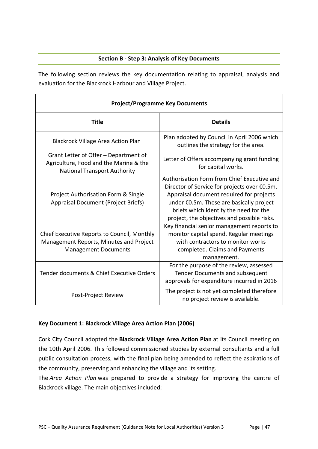#### **Section B - Step 3: Analysis of Key Documents**

The following section reviews the key documentation relating to appraisal, analysis and evaluation for the Blackrock Harbour and Village Project.

| <b>Project/Programme Key Documents</b>                                                                                 |                                                                                                                                                                                                                                                                              |  |
|------------------------------------------------------------------------------------------------------------------------|------------------------------------------------------------------------------------------------------------------------------------------------------------------------------------------------------------------------------------------------------------------------------|--|
| <b>Title</b>                                                                                                           | <b>Details</b>                                                                                                                                                                                                                                                               |  |
| <b>Blackrock Village Area Action Plan</b>                                                                              | Plan adopted by Council in April 2006 which<br>outlines the strategy for the area.                                                                                                                                                                                           |  |
| Grant Letter of Offer - Department of<br>Agriculture, Food and the Marine & the<br><b>National Transport Authority</b> | Letter of Offers accompanying grant funding<br>for capital works.                                                                                                                                                                                                            |  |
| <b>Project Authorisation Form &amp; Single</b><br><b>Appraisal Document (Project Briefs)</b>                           | Authorisation Form from Chief Executive and<br>Director of Service for projects over €0.5m.<br>Appraisal document required for projects<br>under €0.5m. These are basically project<br>briefs which identify the need for the<br>project, the objectives and possible risks. |  |
| Chief Executive Reports to Council, Monthly<br>Management Reports, Minutes and Project<br><b>Management Documents</b>  | Key financial senior management reports to<br>monitor capital spend. Regular meetings<br>with contractors to monitor works<br>completed. Claims and Payments<br>management.                                                                                                  |  |
| Tender documents & Chief Executive Orders                                                                              | For the purpose of the review, assessed<br>Tender Documents and subsequent<br>approvals for expenditure incurred in 2016                                                                                                                                                     |  |
| The project is not yet completed therefore<br>Post-Project Review<br>no project review is available.                   |                                                                                                                                                                                                                                                                              |  |

#### **Key Document 1: Blackrock Village Area Action Plan (2006)**

Cork City Council adopted the **Blackrock Village Area Action Plan** at its Council meeting on the 10th April 2006. This followed commissioned studies by external consultants and a full public consultation process, with the final plan being amended to reflect the aspirations of the community, preserving and enhancing the village and its setting.

The *Area Action Plan* was prepared to provide a strategy for improving the centre of Blackrock village. The main objectives included;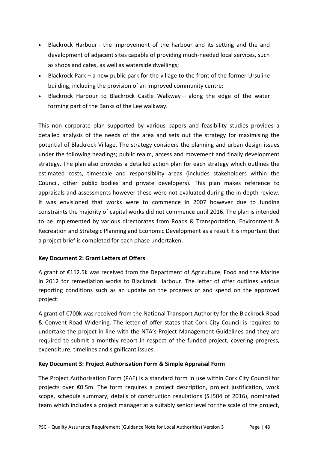- Blackrock Harbour the improvement of the harbour and its setting and the and development of adjacent sites capable of providing much-needed local services, such as shops and cafes, as well as waterside dwellings;
- Blackrock Park a new public park for the village to the front of the former Ursuline building, including the provision of an improved community centre;
- Blackrock Harbour to Blackrock Castle Walkway along the edge of the water forming part of the Banks of the Lee walkway.

This non corporate plan supported by various papers and feasibility studies provides a detailed analysis of the needs of the area and sets out the strategy for maximising the potential of Blackrock Village. The strategy considers the planning and urban design issues under the following headings; public realm, access and movement and finally development strategy. The plan also provides a detailed action plan for each strategy which outlines the estimated costs, timescale and responsibility areas (includes stakeholders within the Council, other public bodies and private developers). This plan makes reference to appraisals and assessments however these were not evaluated during the in-depth review. It was envisioned that works were to commence in 2007 however due to funding constraints the majority of capital works did not commence until 2016. The plan is intended to be implemented by various directorates from Roads & Transportation, Environment & Recreation and Strategic Planning and Economic Development as a result it is important that a project brief is completed for each phase undertaken.

#### **Key Document 2: Grant Letters of Offers**

A grant of €112.5k was received from the Department of Agriculture, Food and the Marine in 2012 for remediation works to Blackrock Harbour. The letter of offer outlines various reporting conditions such as an update on the progress of and spend on the approved project.

A grant of €700k was received from the National Transport Authority for the Blackrock Road & Convent Road Widening. The letter of offer states that Cork City Council is required to undertake the project in line with the NTA's Project Management Guidelines and they are required to submit a monthly report in respect of the funded project, covering progress, expenditure, timelines and significant issues.

#### **Key Document 3: Project Authorisation Form & Simple Appraisal Form**

The Project Authorisation Form (PAF) is a standard form in use within Cork City Council for projects over €0.5m. The form requires a project description, project justification, work scope, schedule summary, details of construction regulations (S.I504 of 2016), nominated team which includes a project manager at a suitably senior level for the scale of the project,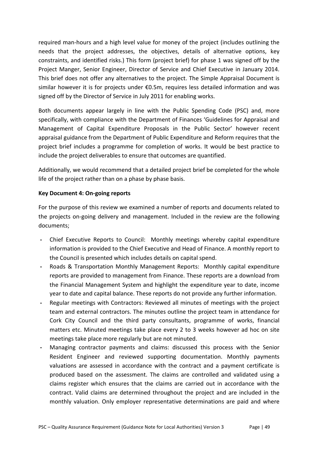required man-hours and a high level value for money of the project (includes outlining the needs that the project addresses, the objectives, details of alternative options, key constraints, and identified risks.) This form (project brief) for phase 1 was signed off by the Project Manger, Senior Engineer, Director of Service and Chief Executive in January 2014. This brief does not offer any alternatives to the project. The Simple Appraisal Document is similar however it is for projects under €0.5m, requires less detailed information and was signed off by the Director of Service in July 2011 for enabling works.

Both documents appear largely in line with the Public Spending Code (PSC) and, more specifically, with compliance with the Department of Finances 'Guidelines for Appraisal and Management of Capital Expenditure Proposals in the Public Sector' however recent appraisal guidance from the Department of Public Expenditure and Reform requires that the project brief includes a programme for completion of works. It would be best practice to include the project deliverables to ensure that outcomes are quantified.

Additionally, we would recommend that a detailed project brief be completed for the whole life of the project rather than on a phase by phase basis.

#### **Key Document 4: On-going reports**

For the purpose of this review we examined a number of reports and documents related to the projects on-going delivery and management. Included in the review are the following documents;

- **-** Chief Executive Reports to Council: Monthly meetings whereby capital expenditure information is provided to the Chief Executive and Head of Finance. A monthly report to the Council is presented which includes details on capital spend.
- **-** Roads & Transportation Monthly Management Reports: Monthly capital expenditure reports are provided to management from Finance. These reports are a download from the Financial Management System and highlight the expenditure year to date, income year to date and capital balance. These reports do not provide any further information.
- **-** Regular meetings with Contractors: Reviewed all minutes of meetings with the project team and external contractors. The minutes outline the project team in attendance for Cork City Council and the third party consultants, programme of works, financial matters etc. Minuted meetings take place every 2 to 3 weeks however ad hoc on site meetings take place more regularly but are not minuted.
- **-** Managing contractor payments and claims: discussed this process with the Senior Resident Engineer and reviewed supporting documentation. Monthly payments valuations are assessed in accordance with the contract and a payment certificate is produced based on the assessment. The claims are controlled and validated using a claims register which ensures that the claims are carried out in accordance with the contract. Valid claims are determined throughout the project and are included in the monthly valuation. Only employer representative determinations are paid and where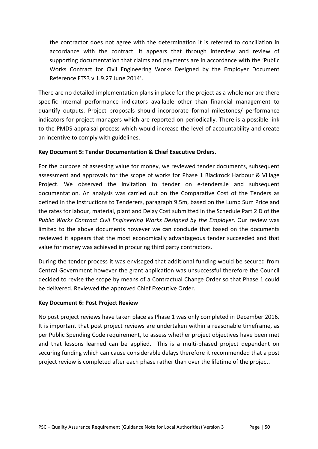the contractor does not agree with the determination it is referred to conciliation in accordance with the contract. It appears that through interview and review of supporting documentation that claims and payments are in accordance with the 'Public Works Contract for Civil Engineering Works Designed by the Employer Document Reference FTS3 v.1.9.27 June 2014'.

There are no detailed implementation plans in place for the project as a whole nor are there specific internal performance indicators available other than financial management to quantify outputs. Project proposals should incorporate formal milestones/ performance indicators for project managers which are reported on periodically. There is a possible link to the PMDS appraisal process which would increase the level of accountability and create an incentive to comply with guidelines.

#### **Key Document 5: Tender Documentation & Chief Executive Orders.**

For the purpose of assessing value for money, we reviewed tender documents, subsequent assessment and approvals for the scope of works for Phase 1 Blackrock Harbour & Village Project. We observed the invitation to tender on e-tenders.ie and subsequent documentation. An analysis was carried out on the Comparative Cost of the Tenders as defined in the Instructions to Tenderers, paragraph 9.5m, based on the Lump Sum Price and the rates for labour, material, plant and Delay Cost submitted in the Schedule Part 2 D of the *Public Works Contract Civil Engineering Works Designed by the Employer*. Our review was limited to the above documents however we can conclude that based on the documents reviewed it appears that the most economically advantageous tender succeeded and that value for money was achieved in procuring third party contractors.

During the tender process it was envisaged that additional funding would be secured from Central Government however the grant application was unsuccessful therefore the Council decided to revise the scope by means of a Contractual Change Order so that Phase 1 could be delivered. Reviewed the approved Chief Executive Order.

#### **Key Document 6: Post Project Review**

No post project reviews have taken place as Phase 1 was only completed in December 2016. It is important that post project reviews are undertaken within a reasonable timeframe, as per Public Spending Code requirement, to assess whether project objectives have been met and that lessons learned can be applied. This is a multi-phased project dependent on securing funding which can cause considerable delays therefore it recommended that a post project review is completed after each phase rather than over the lifetime of the project.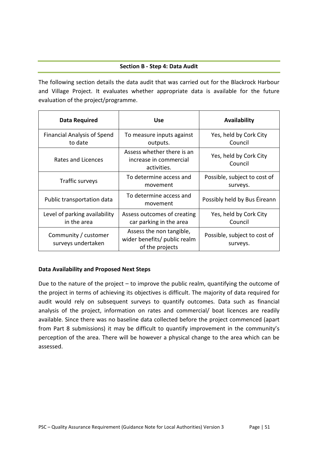#### **Section B - Step 4: Data Audit**

The following section details the data audit that was carried out for the Blackrock Harbour and Village Project. It evaluates whether appropriate data is available for the future evaluation of the project/programme.

| Data Required                                 | <b>Use</b>                                                                  | Availability                             |
|-----------------------------------------------|-----------------------------------------------------------------------------|------------------------------------------|
| <b>Financial Analysis of Spend</b><br>to date | To measure inputs against<br>outputs.                                       | Yes, held by Cork City<br>Council        |
| Rates and Licences                            | Assess whether there is an<br>increase in commercial<br>activities.         | Yes, held by Cork City<br>Council        |
| Traffic surveys                               | To determine access and<br>movement                                         | Possible, subject to cost of<br>surveys. |
| Public transportation data                    | To determine access and<br>movement                                         | Possibly held by Bus Éireann             |
| Level of parking availability<br>in the area  | Assess outcomes of creating<br>car parking in the area                      | Yes, held by Cork City<br>Council        |
| Community / customer<br>surveys undertaken    | Assess the non tangible,<br>wider benefits/ public realm<br>of the projects | Possible, subject to cost of<br>surveys. |

#### **Data Availability and Proposed Next Steps**

Due to the nature of the project – to improve the public realm, quantifying the outcome of the project in terms of achieving its objectives is difficult. The majority of data required for audit would rely on subsequent surveys to quantify outcomes. Data such as financial analysis of the project, information on rates and commercial/ boat licences are readily available. Since there was no baseline data collected before the project commenced (apart from Part 8 submissions) it may be difficult to quantify improvement in the community's perception of the area. There will be however a physical change to the area which can be assessed.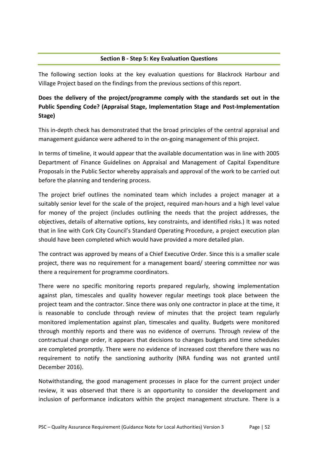#### **Section B - Step 5: Key Evaluation Questions**

The following section looks at the key evaluation questions for Blackrock Harbour and Village Project based on the findings from the previous sections of this report.

## **Does the delivery of the project/programme comply with the standards set out in the Public Spending Code? (Appraisal Stage, Implementation Stage and Post-Implementation Stage)**

This in-depth check has demonstrated that the broad principles of the central appraisal and management guidance were adhered to in the on-going management of this project.

In terms of timeline, it would appear that the available documentation was in line with 2005 Department of Finance Guidelines on Appraisal and Management of Capital Expenditure Proposals in the Public Sector whereby appraisals and approval of the work to be carried out before the planning and tendering process.

The project brief outlines the nominated team which includes a project manager at a suitably senior level for the scale of the project, required man-hours and a high level value for money of the project (includes outlining the needs that the project addresses, the objectives, details of alternative options, key constraints, and identified risks.) It was noted that in line with Cork City Council's Standard Operating Procedure, a project execution plan should have been completed which would have provided a more detailed plan.

The contract was approved by means of a Chief Executive Order. Since this is a smaller scale project, there was no requirement for a management board/ steering committee nor was there a requirement for programme coordinators.

There were no specific monitoring reports prepared regularly, showing implementation against plan, timescales and quality however regular meetings took place between the project team and the contractor. Since there was only one contractor in place at the time, it is reasonable to conclude through review of minutes that the project team regularly monitored implementation against plan, timescales and quality. Budgets were monitored through monthly reports and there was no evidence of overruns. Through review of the contractual change order, it appears that decisions to changes budgets and time schedules are completed promptly. There were no evidence of increased cost therefore there was no requirement to notify the sanctioning authority (NRA funding was not granted until December 2016).

Notwithstanding, the good management processes in place for the current project under review, it was observed that there is an opportunity to consider the development and inclusion of performance indicators within the project management structure. There is a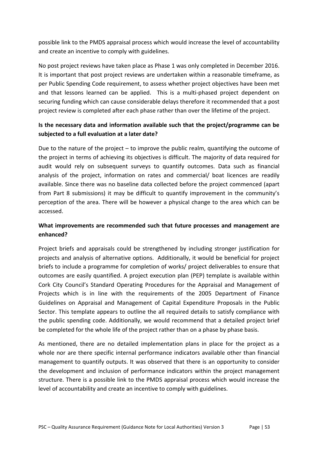possible link to the PMDS appraisal process which would increase the level of accountability and create an incentive to comply with guidelines.

No post project reviews have taken place as Phase 1 was only completed in December 2016. It is important that post project reviews are undertaken within a reasonable timeframe, as per Public Spending Code requirement, to assess whether project objectives have been met and that lessons learned can be applied. This is a multi-phased project dependent on securing funding which can cause considerable delays therefore it recommended that a post project review is completed after each phase rather than over the lifetime of the project.

## **Is the necessary data and information available such that the project/programme can be subjected to a full evaluation at a later date?**

Due to the nature of the project  $-$  to improve the public realm, quantifying the outcome of the project in terms of achieving its objectives is difficult. The majority of data required for audit would rely on subsequent surveys to quantify outcomes. Data such as financial analysis of the project, information on rates and commercial/ boat licences are readily available. Since there was no baseline data collected before the project commenced (apart from Part 8 submissions) it may be difficult to quantify improvement in the community's perception of the area. There will be however a physical change to the area which can be accessed.

## **What improvements are recommended such that future processes and management are enhanced?**

Project briefs and appraisals could be strengthened by including stronger justification for projects and analysis of alternative options. Additionally, it would be beneficial for project briefs to include a programme for completion of works/ project deliverables to ensure that outcomes are easily quantified. A project execution plan (PEP) template is available within Cork City Council's Standard Operating Procedures for the Appraisal and Management of Projects which is in line with the requirements of the 2005 Department of Finance Guidelines on Appraisal and Management of Capital Expenditure Proposals in the Public Sector. This template appears to outline the all required details to satisfy compliance with the public spending code. Additionally, we would recommend that a detailed project brief be completed for the whole life of the project rather than on a phase by phase basis.

As mentioned, there are no detailed implementation plans in place for the project as a whole nor are there specific internal performance indicators available other than financial management to quantify outputs. It was observed that there is an opportunity to consider the development and inclusion of performance indicators within the project management structure. There is a possible link to the PMDS appraisal process which would increase the level of accountability and create an incentive to comply with guidelines.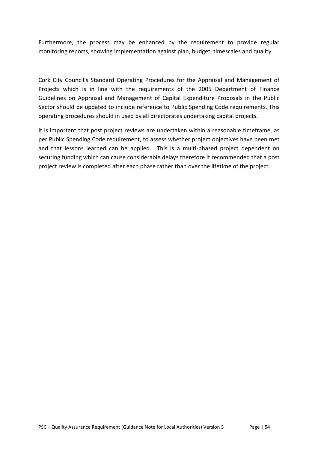Furthermore, the process may be enhanced by the requirement to provide regular monitoring reports, showing implementation against plan, budget, timescales and quality.

Cork City Council's Standard Operating Procedures for the Appraisal and Management of Projects which is in line with the requirements of the 2005 Department of Finance Guidelines on Appraisal and Management of Capital Expenditure Proposals in the Public Sector should be updated to include reference to Public Spending Code requirements. This operating procedures should in used by all directorates undertaking capital projects.

It is important that post project reviews are undertaken within a reasonable timeframe, as per Public Spending Code requirement, to assess whether project objectives have been met and that lessons learned can be applied. This is a multi-phased project dependent on securing funding which can cause considerable delays therefore it recommended that a post project review is completed after each phase rather than over the lifetime of the project.